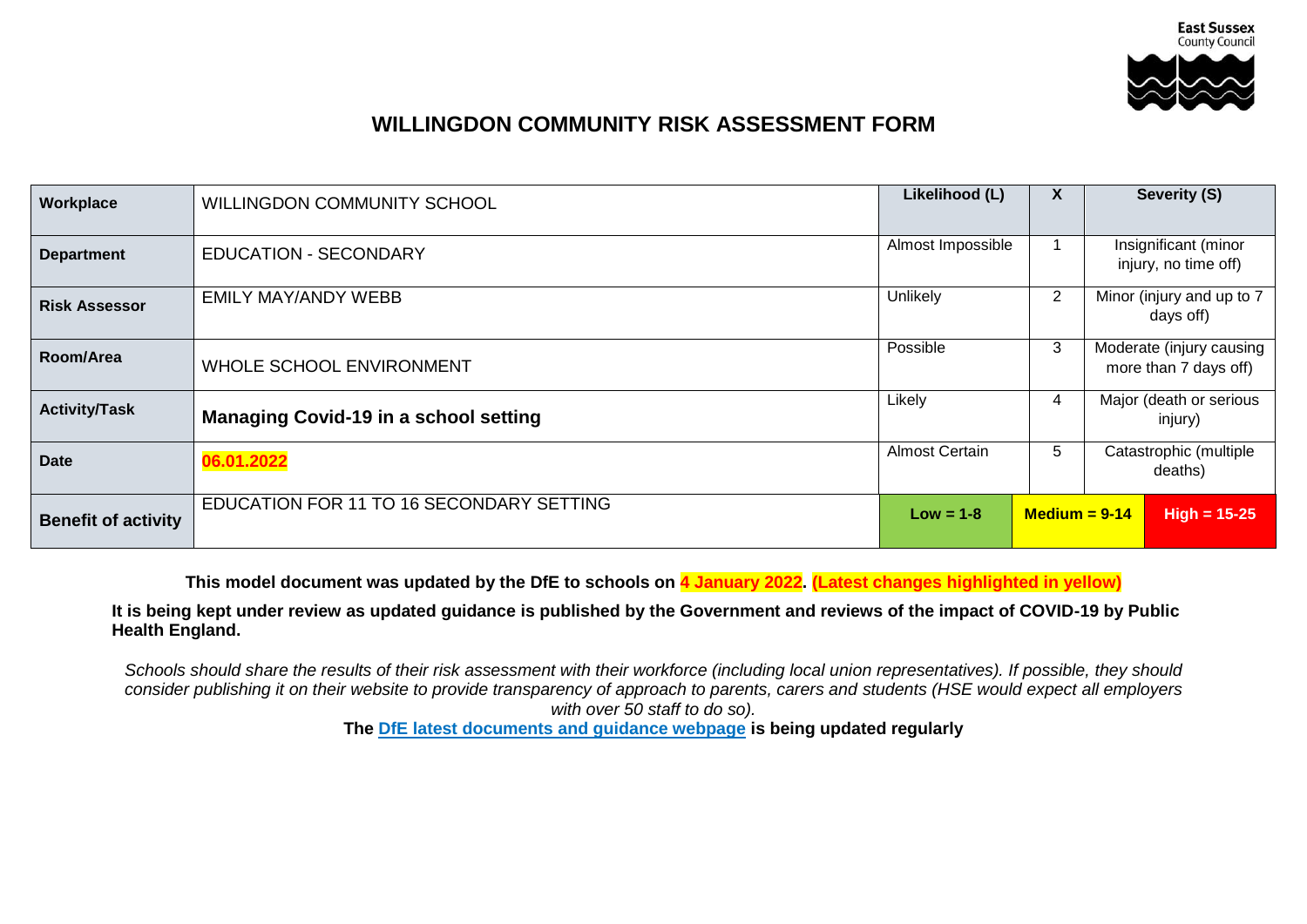

## **WILLINGDON COMMUNITY RISK ASSESSMENT FORM**

| Workplace                  | WILLINGDON COMMUNITY SCHOOL                  | Likelihood (L)                 | X | Severity (S)                                      |
|----------------------------|----------------------------------------------|--------------------------------|---|---------------------------------------------------|
| <b>Department</b>          | <b>EDUCATION - SECONDARY</b>                 | Almost Impossible              |   | Insignificant (minor<br>injury, no time off)      |
| <b>Risk Assessor</b>       | <b>EMILY MAY/ANDY WEBB</b>                   | Unlikely                       | 2 | Minor (injury and up to 7<br>days off)            |
| Room/Area                  | WHOLE SCHOOL ENVIRONMENT                     | Possible                       | 3 | Moderate (injury causing<br>more than 7 days off) |
| <b>Activity/Task</b>       | <b>Managing Covid-19 in a school setting</b> | Likely                         | 4 | Major (death or serious<br>injury)                |
| <b>Date</b>                | 06.01.2022                                   | <b>Almost Certain</b>          | 5 | Catastrophic (multiple<br>deaths)                 |
| <b>Benefit of activity</b> | EDUCATION FOR 11 TO 16 SECONDARY SETTING     | $Low = 1-8$<br>$Medium = 9-14$ |   | $High = 15-25$                                    |

**This model document was updated by the DfE to schools on 4 January 2022. (Latest changes highlighted in yellow)**

**It is being kept under review as updated guidance is published by the Government and reviews of the impact of COVID-19 by Public Health England.** 

*Schools should share the results of their risk assessment with their workforce (including local union representatives). If possible, they should consider publishing it on their website to provide transparency of approach to parents, carers and students (HSE would expect all employers with over 50 staff to do so).*

**The [DfE latest documents and guidance webpage](https://www.gov.uk/government/latest?departments%5B%5D=department-for-education) is being updated regularly**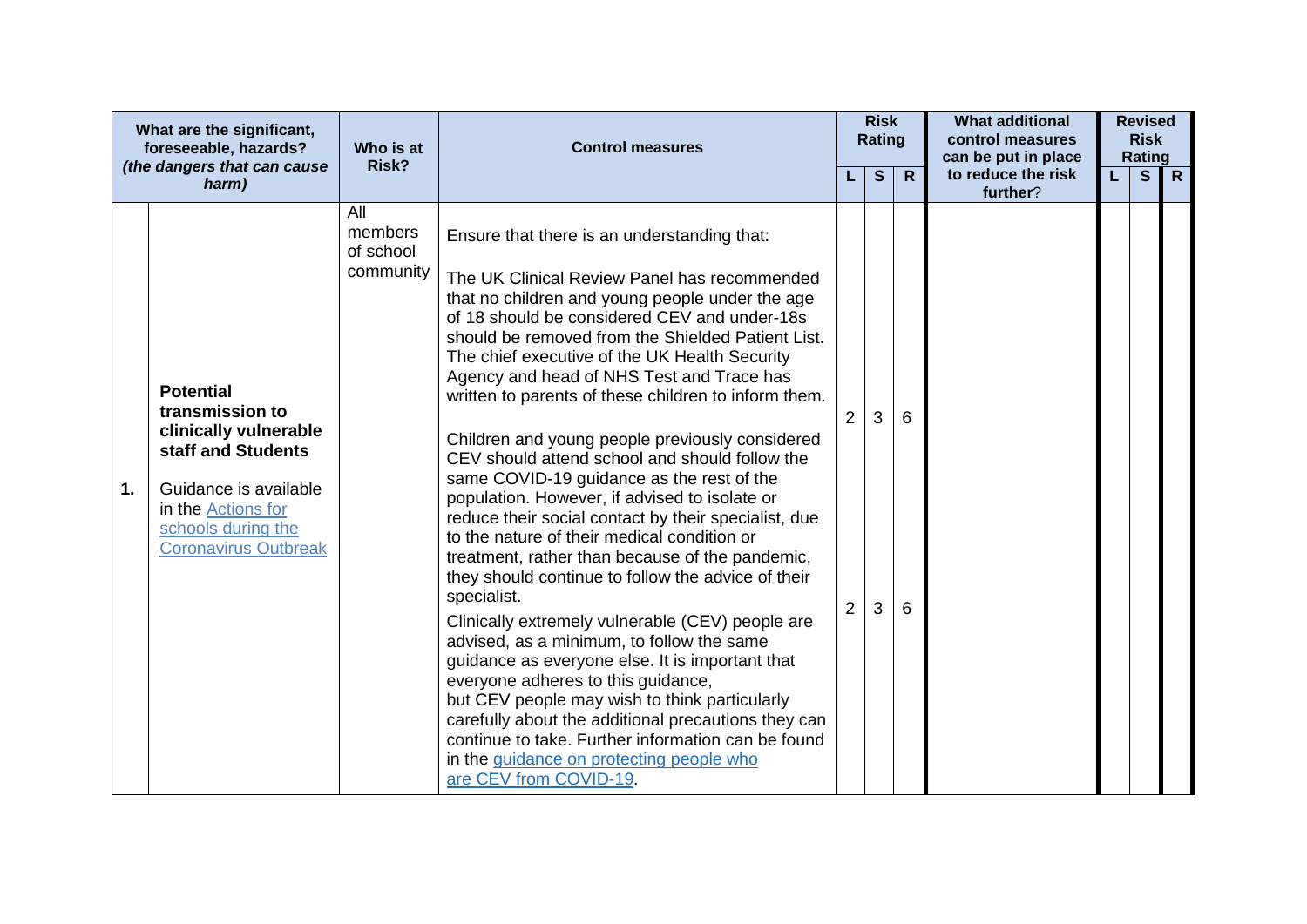|    | What are the significant,<br>foreseeable, hazards?                                                                                                                                            | Who is at                                | <b>Control measures</b>                                                                                                                                                                                                                                                                                                                                                                                                                                                                                                                                                                                                                                                                                                                                                                                                                                                                                                                                                                                                                                                                                                                                                                                                                                                   |                     | <b>Risk</b><br>Rating |              | <b>What additional</b><br>control measures<br>can be put in place |    | <b>Revised</b><br><b>Risk</b><br>Rating |              |
|----|-----------------------------------------------------------------------------------------------------------------------------------------------------------------------------------------------|------------------------------------------|---------------------------------------------------------------------------------------------------------------------------------------------------------------------------------------------------------------------------------------------------------------------------------------------------------------------------------------------------------------------------------------------------------------------------------------------------------------------------------------------------------------------------------------------------------------------------------------------------------------------------------------------------------------------------------------------------------------------------------------------------------------------------------------------------------------------------------------------------------------------------------------------------------------------------------------------------------------------------------------------------------------------------------------------------------------------------------------------------------------------------------------------------------------------------------------------------------------------------------------------------------------------------|---------------------|-----------------------|--------------|-------------------------------------------------------------------|----|-----------------------------------------|--------------|
|    | (the dangers that can cause<br>harm)                                                                                                                                                          | Risk?                                    |                                                                                                                                                                                                                                                                                                                                                                                                                                                                                                                                                                                                                                                                                                                                                                                                                                                                                                                                                                                                                                                                                                                                                                                                                                                                           |                     | S                     | $\mathsf{R}$ | to reduce the risk<br>further?                                    | L. | S                                       | $\mathsf{R}$ |
| 1. | <b>Potential</b><br>transmission to<br>clinically vulnerable<br>staff and Students<br>Guidance is available<br>in the <b>Actions</b> for<br>schools during the<br><b>Coronavirus Outbreak</b> | All<br>members<br>of school<br>community | Ensure that there is an understanding that:<br>The UK Clinical Review Panel has recommended<br>that no children and young people under the age<br>of 18 should be considered CEV and under-18s<br>should be removed from the Shielded Patient List.<br>The chief executive of the UK Health Security<br>Agency and head of NHS Test and Trace has<br>written to parents of these children to inform them.<br>Children and young people previously considered<br>CEV should attend school and should follow the<br>same COVID-19 guidance as the rest of the<br>population. However, if advised to isolate or<br>reduce their social contact by their specialist, due<br>to the nature of their medical condition or<br>treatment, rather than because of the pandemic,<br>they should continue to follow the advice of their<br>specialist.<br>Clinically extremely vulnerable (CEV) people are<br>advised, as a minimum, to follow the same<br>guidance as everyone else. It is important that<br>everyone adheres to this guidance,<br>but CEV people may wish to think particularly<br>carefully about the additional precautions they can<br>continue to take. Further information can be found<br>in the guidance on protecting people who<br>are CEV from COVID-19. | 2<br>$\overline{2}$ | 3<br>3                | 6<br>6       |                                                                   |    |                                         |              |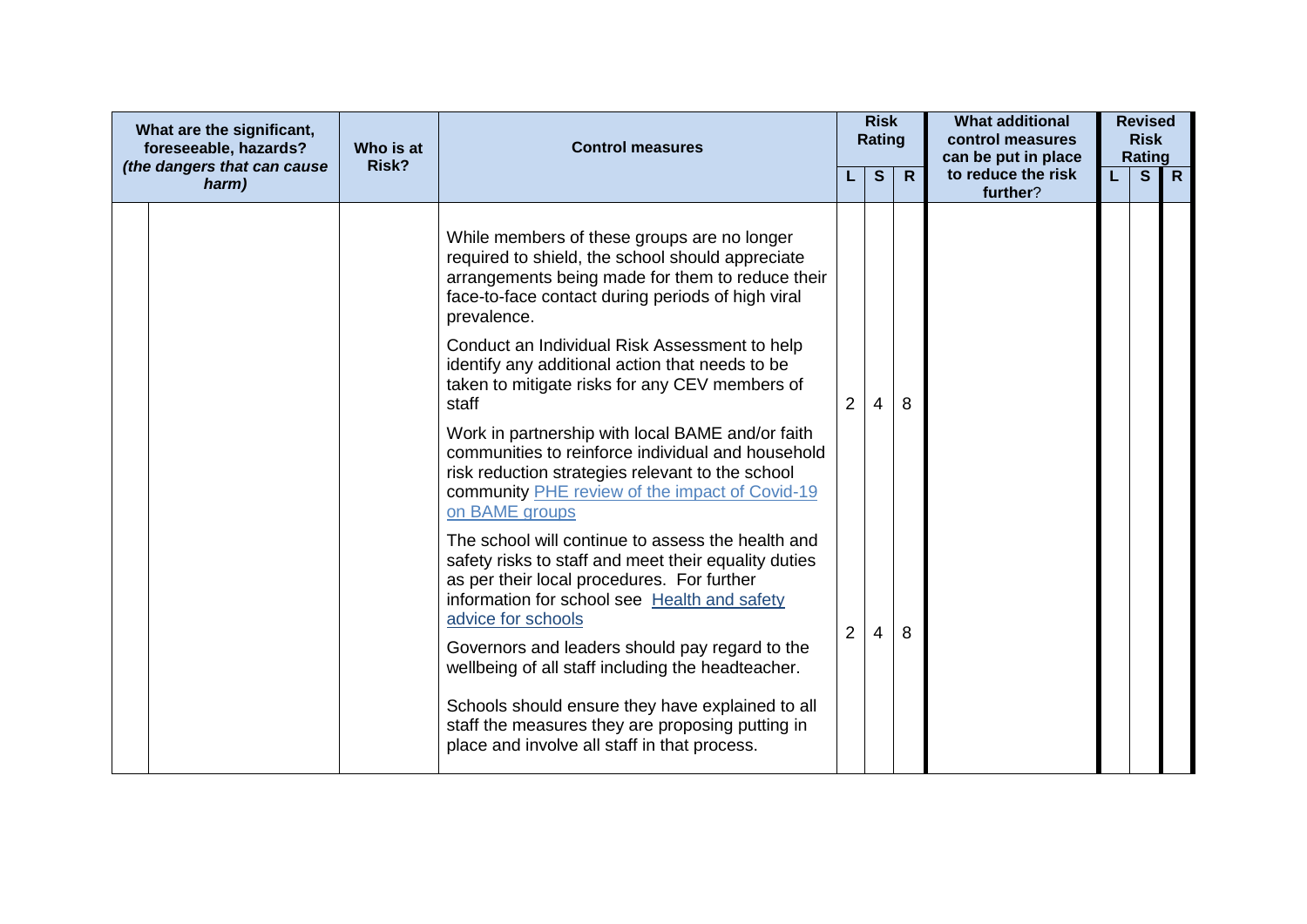| What are the significant,<br>foreseeable, hazards? | Who is at | <b>Control measures</b>                                                                                                                                                                                                       |                | <b>Risk</b><br>Rating |              | <b>What additional</b><br>control measures            |    | <b>Revised</b><br><b>Risk</b> |              |
|----------------------------------------------------|-----------|-------------------------------------------------------------------------------------------------------------------------------------------------------------------------------------------------------------------------------|----------------|-----------------------|--------------|-------------------------------------------------------|----|-------------------------------|--------------|
| (the dangers that can cause<br>harm)               | Risk?     |                                                                                                                                                                                                                               |                | S                     | $\mathsf{R}$ | can be put in place<br>to reduce the risk<br>further? | L. | Rating<br>S                   | $\mathsf{R}$ |
|                                                    |           | While members of these groups are no longer<br>required to shield, the school should appreciate<br>arrangements being made for them to reduce their<br>face-to-face contact during periods of high viral<br>prevalence.       |                |                       |              |                                                       |    |                               |              |
|                                                    |           | Conduct an Individual Risk Assessment to help<br>identify any additional action that needs to be<br>taken to mitigate risks for any CEV members of<br>staff                                                                   | 2              | 4                     | 8            |                                                       |    |                               |              |
|                                                    |           | Work in partnership with local BAME and/or faith<br>communities to reinforce individual and household<br>risk reduction strategies relevant to the school<br>community PHE review of the impact of Covid-19<br>on BAME groups |                |                       |              |                                                       |    |                               |              |
|                                                    |           | The school will continue to assess the health and<br>safety risks to staff and meet their equality duties<br>as per their local procedures. For further<br>information for school see Health and safety<br>advice for schools | $\overline{2}$ | 4                     | 8            |                                                       |    |                               |              |
|                                                    |           | Governors and leaders should pay regard to the<br>wellbeing of all staff including the headteacher.                                                                                                                           |                |                       |              |                                                       |    |                               |              |
|                                                    |           | Schools should ensure they have explained to all<br>staff the measures they are proposing putting in<br>place and involve all staff in that process.                                                                          |                |                       |              |                                                       |    |                               |              |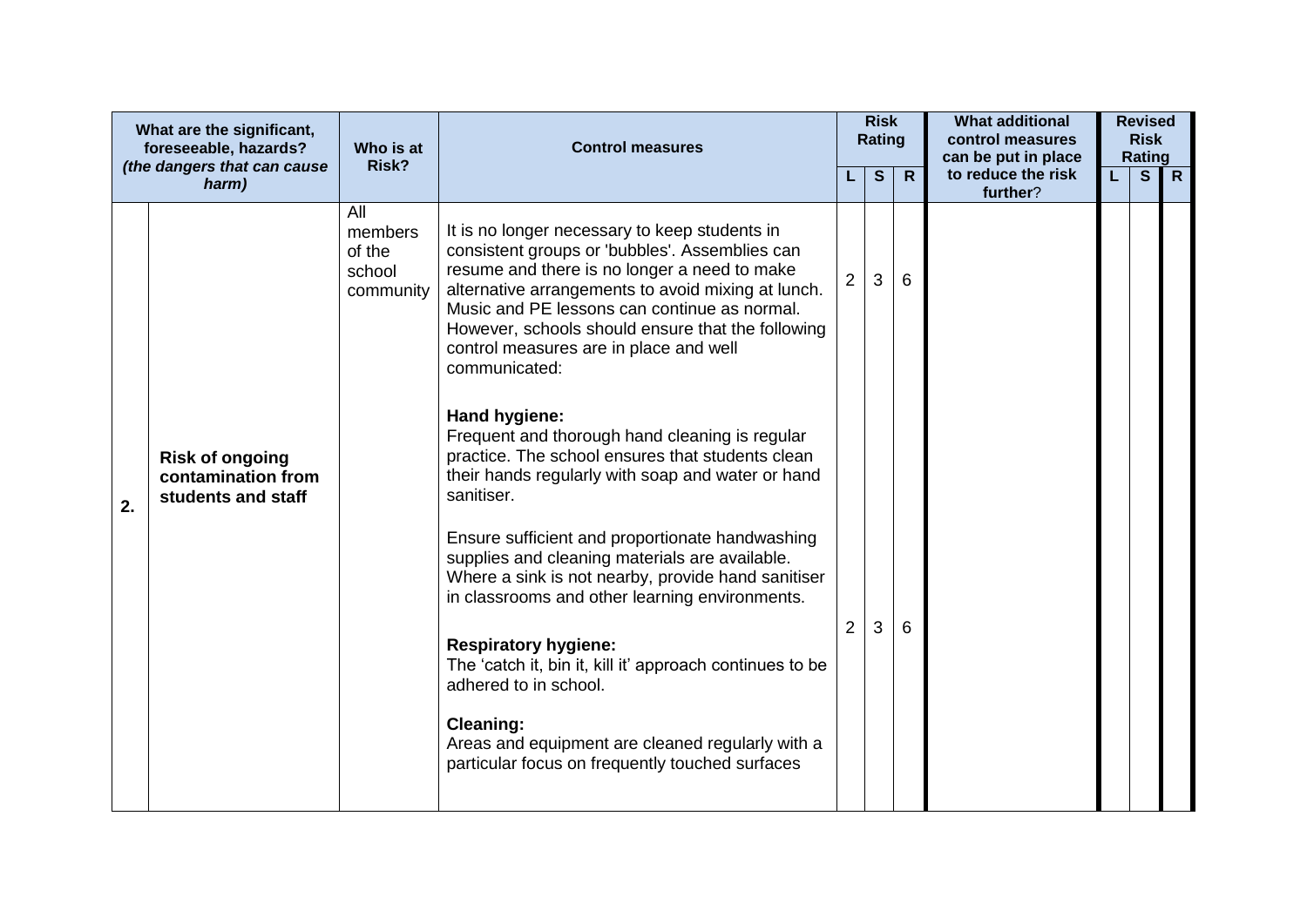|    | What are the significant,<br>foreseeable, hazards?<br>(the dangers that can cause<br>harm) | Who is at<br>Risk?                              | <b>Control measures</b>                                                                                                                                                                                                                                                                                                                                               |                | <b>Risk</b><br><b>Rating</b><br>S | $\mathsf{R}$ | <b>What additional</b><br>control measures<br>can be put in place<br>to reduce the risk | L. | <b>Revised</b><br><b>Risk</b><br>Rating<br>S | $\mathsf{R}$ |
|----|--------------------------------------------------------------------------------------------|-------------------------------------------------|-----------------------------------------------------------------------------------------------------------------------------------------------------------------------------------------------------------------------------------------------------------------------------------------------------------------------------------------------------------------------|----------------|-----------------------------------|--------------|-----------------------------------------------------------------------------------------|----|----------------------------------------------|--------------|
|    |                                                                                            | All<br>members<br>of the<br>school<br>community | It is no longer necessary to keep students in<br>consistent groups or 'bubbles'. Assemblies can<br>resume and there is no longer a need to make<br>alternative arrangements to avoid mixing at lunch.<br>Music and PE lessons can continue as normal.<br>However, schools should ensure that the following<br>control measures are in place and well<br>communicated: | $\overline{2}$ | 3                                 | 6            | further?                                                                                |    |                                              |              |
| 2. | <b>Risk of ongoing</b><br>contamination from<br>students and staff                         |                                                 | Hand hygiene:<br>Frequent and thorough hand cleaning is regular<br>practice. The school ensures that students clean<br>their hands regularly with soap and water or hand<br>sanitiser.                                                                                                                                                                                |                |                                   |              |                                                                                         |    |                                              |              |
|    |                                                                                            |                                                 | Ensure sufficient and proportionate handwashing<br>supplies and cleaning materials are available.<br>Where a sink is not nearby, provide hand sanitiser<br>in classrooms and other learning environments.                                                                                                                                                             |                |                                   |              |                                                                                         |    |                                              |              |
|    |                                                                                            |                                                 | <b>Respiratory hygiene:</b><br>The 'catch it, bin it, kill it' approach continues to be<br>adhered to in school.                                                                                                                                                                                                                                                      | $\overline{2}$ | 3                                 | 6            |                                                                                         |    |                                              |              |
|    |                                                                                            |                                                 | <b>Cleaning:</b><br>Areas and equipment are cleaned regularly with a<br>particular focus on frequently touched surfaces                                                                                                                                                                                                                                               |                |                                   |              |                                                                                         |    |                                              |              |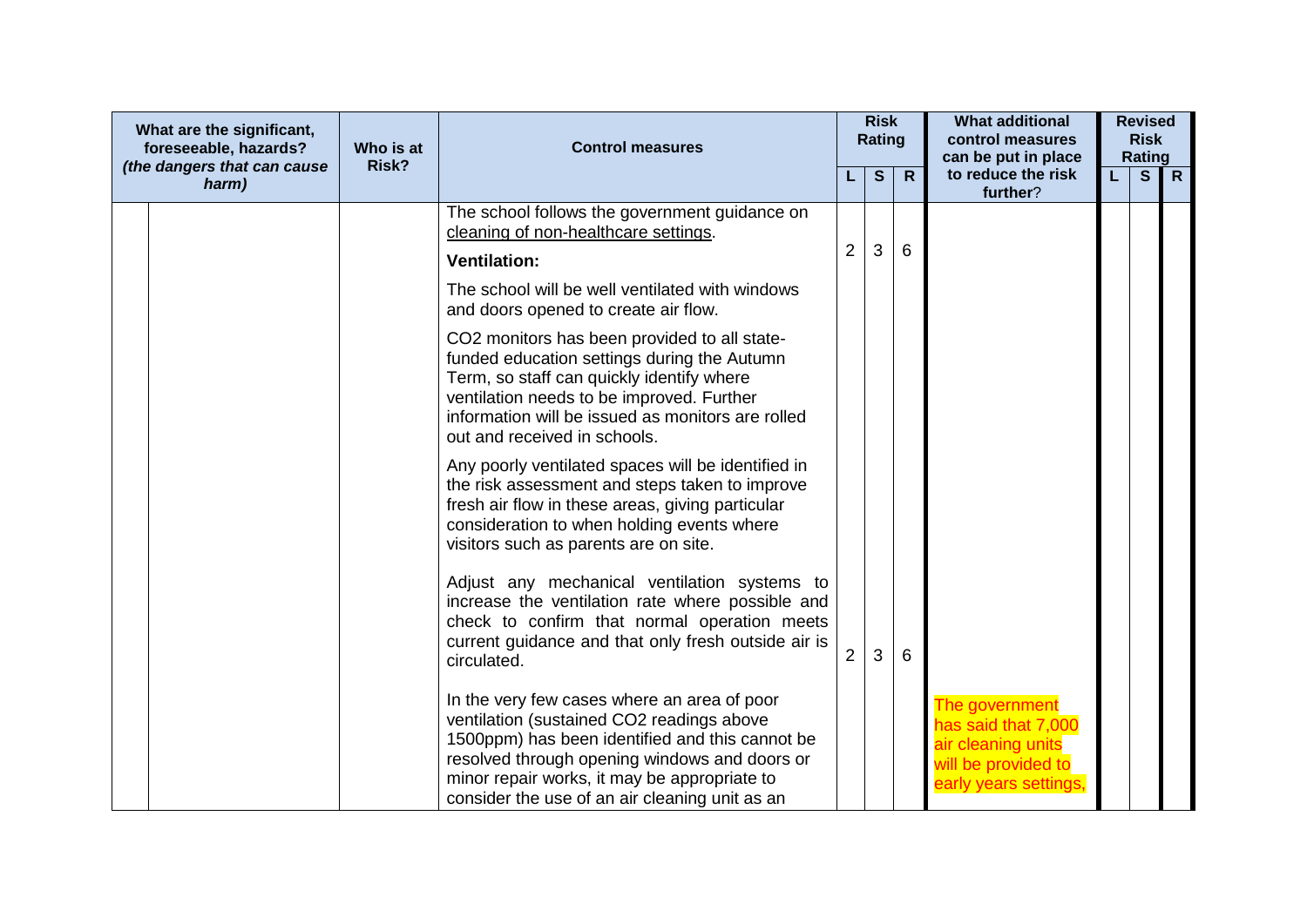| What are the significant,<br>foreseeable, hazards?<br>(the dangers that can cause | Who is at<br>Risk? | <b>Control measures</b>                                                                                                                                                                                                                                                                        |                | <b>Risk</b><br><b>Rating</b> |              | <b>What additional</b><br>control measures<br>can be put in place                                           |    | <b>Revised</b><br><b>Risk</b><br>Rating |              |
|-----------------------------------------------------------------------------------|--------------------|------------------------------------------------------------------------------------------------------------------------------------------------------------------------------------------------------------------------------------------------------------------------------------------------|----------------|------------------------------|--------------|-------------------------------------------------------------------------------------------------------------|----|-----------------------------------------|--------------|
| harm)                                                                             |                    |                                                                                                                                                                                                                                                                                                |                | $\mathbf{s}$                 | $\mathsf{R}$ | to reduce the risk<br>further?                                                                              | L. | S                                       | $\mathsf{R}$ |
|                                                                                   |                    | The school follows the government guidance on<br>cleaning of non-healthcare settings.                                                                                                                                                                                                          | $\overline{2}$ | 3                            | 6            |                                                                                                             |    |                                         |              |
|                                                                                   |                    | <b>Ventilation:</b>                                                                                                                                                                                                                                                                            |                |                              |              |                                                                                                             |    |                                         |              |
|                                                                                   |                    | The school will be well ventilated with windows<br>and doors opened to create air flow.                                                                                                                                                                                                        |                |                              |              |                                                                                                             |    |                                         |              |
|                                                                                   |                    | CO2 monitors has been provided to all state-<br>funded education settings during the Autumn<br>Term, so staff can quickly identify where<br>ventilation needs to be improved. Further<br>information will be issued as monitors are rolled<br>out and received in schools.                     |                |                              |              |                                                                                                             |    |                                         |              |
|                                                                                   |                    | Any poorly ventilated spaces will be identified in<br>the risk assessment and steps taken to improve<br>fresh air flow in these areas, giving particular<br>consideration to when holding events where<br>visitors such as parents are on site.                                                |                |                              |              |                                                                                                             |    |                                         |              |
|                                                                                   |                    | Adjust any mechanical ventilation systems to<br>increase the ventilation rate where possible and<br>check to confirm that normal operation meets<br>current guidance and that only fresh outside air is<br>circulated.                                                                         |                | 3                            | 6            |                                                                                                             |    |                                         |              |
|                                                                                   |                    | In the very few cases where an area of poor<br>ventilation (sustained CO2 readings above<br>1500ppm) has been identified and this cannot be<br>resolved through opening windows and doors or<br>minor repair works, it may be appropriate to<br>consider the use of an air cleaning unit as an |                |                              |              | The government<br>has said that 7,000<br>air cleaning units<br>will be provided to<br>early years settings, |    |                                         |              |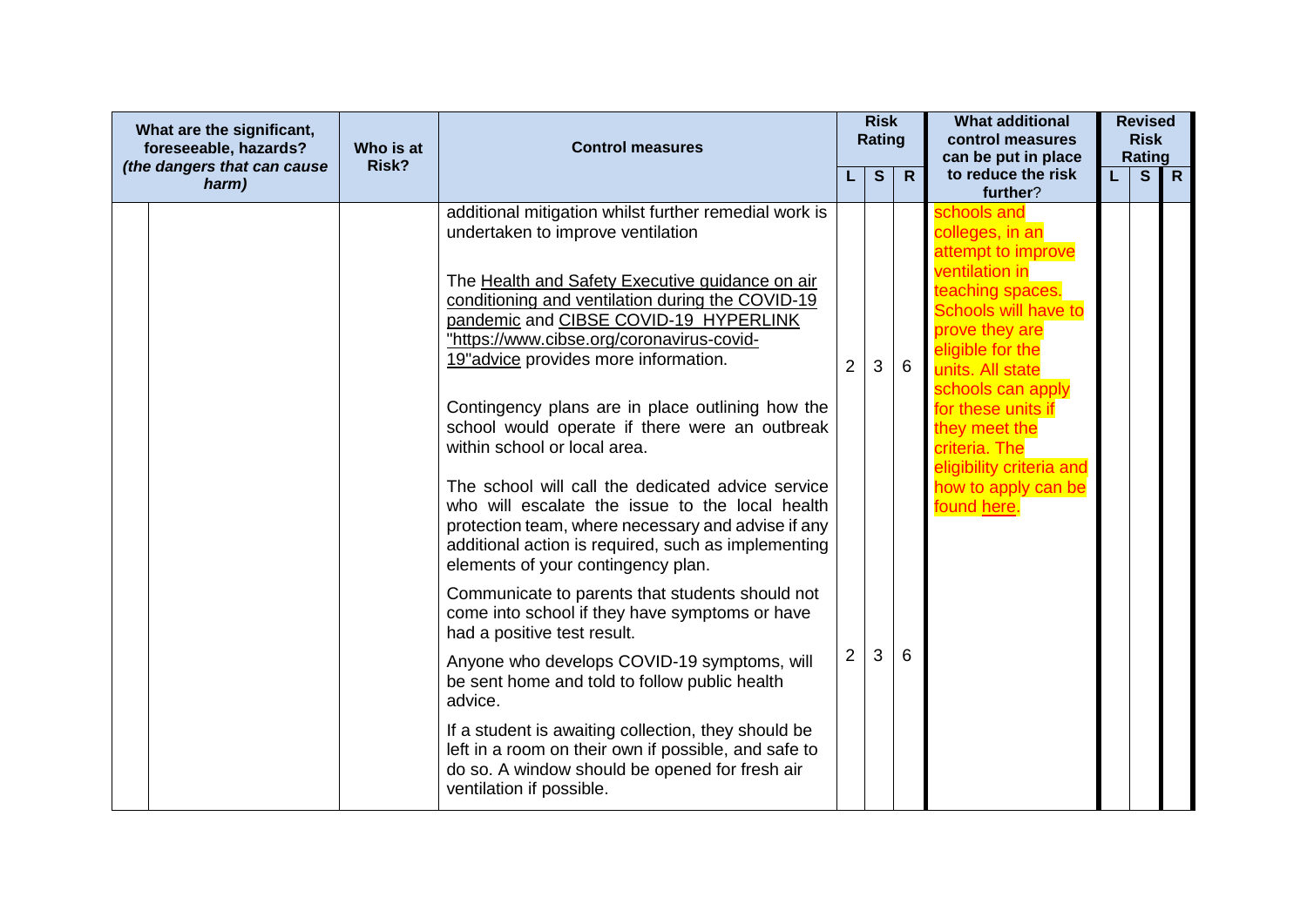| What are the significant,<br>foreseeable, hazards?<br>(the dangers that can cause | Who is at<br>Risk? | <b>Control measures</b>                                                                                                                                                                                                                                 |                | <b>Risk</b><br><b>Rating</b> |   | <b>What additional</b><br>control measures<br>can be put in place                                     |    | <b>Revised</b><br><b>Risk</b><br>Rating |   |
|-----------------------------------------------------------------------------------|--------------------|---------------------------------------------------------------------------------------------------------------------------------------------------------------------------------------------------------------------------------------------------------|----------------|------------------------------|---|-------------------------------------------------------------------------------------------------------|----|-----------------------------------------|---|
| harm)                                                                             |                    |                                                                                                                                                                                                                                                         |                | S                            | R | to reduce the risk<br>further?                                                                        | L. | S                                       | R |
|                                                                                   |                    | additional mitigation whilst further remedial work is<br>undertaken to improve ventilation<br>The Health and Safety Executive guidance on air                                                                                                           |                |                              |   | schools and<br>colleges, in an<br>attempt to improve<br>ventilation in                                |    |                                         |   |
|                                                                                   |                    | conditioning and ventilation during the COVID-19<br>pandemic and CIBSE COVID-19 HYPERLINK<br>"https://www.cibse.org/coronavirus-covid-<br>19" advice provides more information.                                                                         | $\overline{2}$ | 3                            | 6 | teaching spaces.<br>Schools will have to<br>prove they are<br>eligible for the<br>units. All state    |    |                                         |   |
|                                                                                   |                    | Contingency plans are in place outlining how the<br>school would operate if there were an outbreak<br>within school or local area.                                                                                                                      |                |                              |   | schools can apply<br>for these units if<br>they meet the<br>criteria. The<br>eligibility criteria and |    |                                         |   |
|                                                                                   |                    | The school will call the dedicated advice service<br>who will escalate the issue to the local health<br>protection team, where necessary and advise if any<br>additional action is required, such as implementing<br>elements of your contingency plan. |                |                              |   | how to apply can be<br>found here.                                                                    |    |                                         |   |
|                                                                                   |                    | Communicate to parents that students should not<br>come into school if they have symptoms or have<br>had a positive test result.                                                                                                                        |                |                              |   |                                                                                                       |    |                                         |   |
|                                                                                   |                    | Anyone who develops COVID-19 symptoms, will<br>be sent home and told to follow public health<br>advice.                                                                                                                                                 | $\overline{2}$ | 3                            | 6 |                                                                                                       |    |                                         |   |
|                                                                                   |                    | If a student is awaiting collection, they should be<br>left in a room on their own if possible, and safe to<br>do so. A window should be opened for fresh air<br>ventilation if possible.                                                               |                |                              |   |                                                                                                       |    |                                         |   |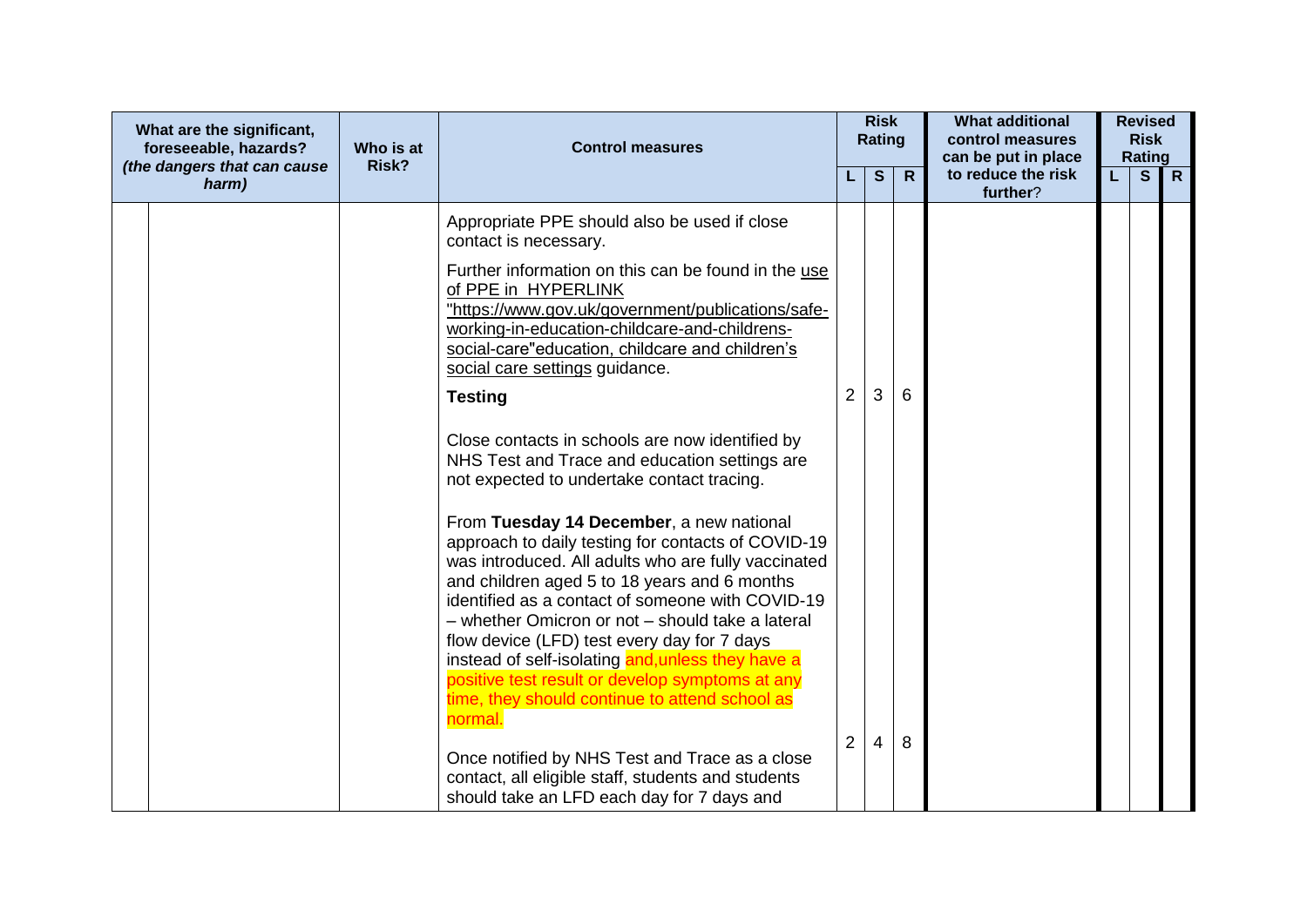| What are the significant,<br>foreseeable, hazards?<br>(the dangers that can cause | Who is at<br>Risk? | <b>Control measures</b>                                                                                                                                                                                                                                                                                                                                                                                                                                                                                                           |                | <b>Risk</b><br><b>Rating</b> |              | <b>What additional</b><br>control measures<br>can be put in place |    | <b>Revised</b><br><b>Risk</b><br>Rating |              |
|-----------------------------------------------------------------------------------|--------------------|-----------------------------------------------------------------------------------------------------------------------------------------------------------------------------------------------------------------------------------------------------------------------------------------------------------------------------------------------------------------------------------------------------------------------------------------------------------------------------------------------------------------------------------|----------------|------------------------------|--------------|-------------------------------------------------------------------|----|-----------------------------------------|--------------|
| harm)                                                                             |                    |                                                                                                                                                                                                                                                                                                                                                                                                                                                                                                                                   |                | S                            | $\mathsf{R}$ | to reduce the risk<br>further?                                    | L. | $\mathbf{s}$                            | $\mathsf{R}$ |
|                                                                                   |                    | Appropriate PPE should also be used if close<br>contact is necessary.                                                                                                                                                                                                                                                                                                                                                                                                                                                             |                |                              |              |                                                                   |    |                                         |              |
|                                                                                   |                    | Further information on this can be found in the use<br>of PPE in HYPERLINK<br>"https://www.gov.uk/government/publications/safe-<br>working-in-education-childcare-and-childrens-<br>social-care"education, childcare and children's<br>social care settings guidance.                                                                                                                                                                                                                                                             |                |                              |              |                                                                   |    |                                         |              |
|                                                                                   |                    | <b>Testing</b>                                                                                                                                                                                                                                                                                                                                                                                                                                                                                                                    | $\overline{2}$ | 3                            | 6            |                                                                   |    |                                         |              |
|                                                                                   |                    | Close contacts in schools are now identified by<br>NHS Test and Trace and education settings are<br>not expected to undertake contact tracing.                                                                                                                                                                                                                                                                                                                                                                                    |                |                              |              |                                                                   |    |                                         |              |
|                                                                                   |                    | From Tuesday 14 December, a new national<br>approach to daily testing for contacts of COVID-19<br>was introduced. All adults who are fully vaccinated<br>and children aged 5 to 18 years and 6 months<br>identified as a contact of someone with COVID-19<br>- whether Omicron or not - should take a lateral<br>flow device (LFD) test every day for 7 days<br>instead of self-isolating and, unless they have a<br>positive test result or develop symptoms at any<br>time, they should continue to attend school as<br>normal. |                |                              |              |                                                                   |    |                                         |              |
|                                                                                   |                    | Once notified by NHS Test and Trace as a close<br>contact, all eligible staff, students and students<br>should take an LFD each day for 7 days and                                                                                                                                                                                                                                                                                                                                                                                | 2              | 4                            | 8            |                                                                   |    |                                         |              |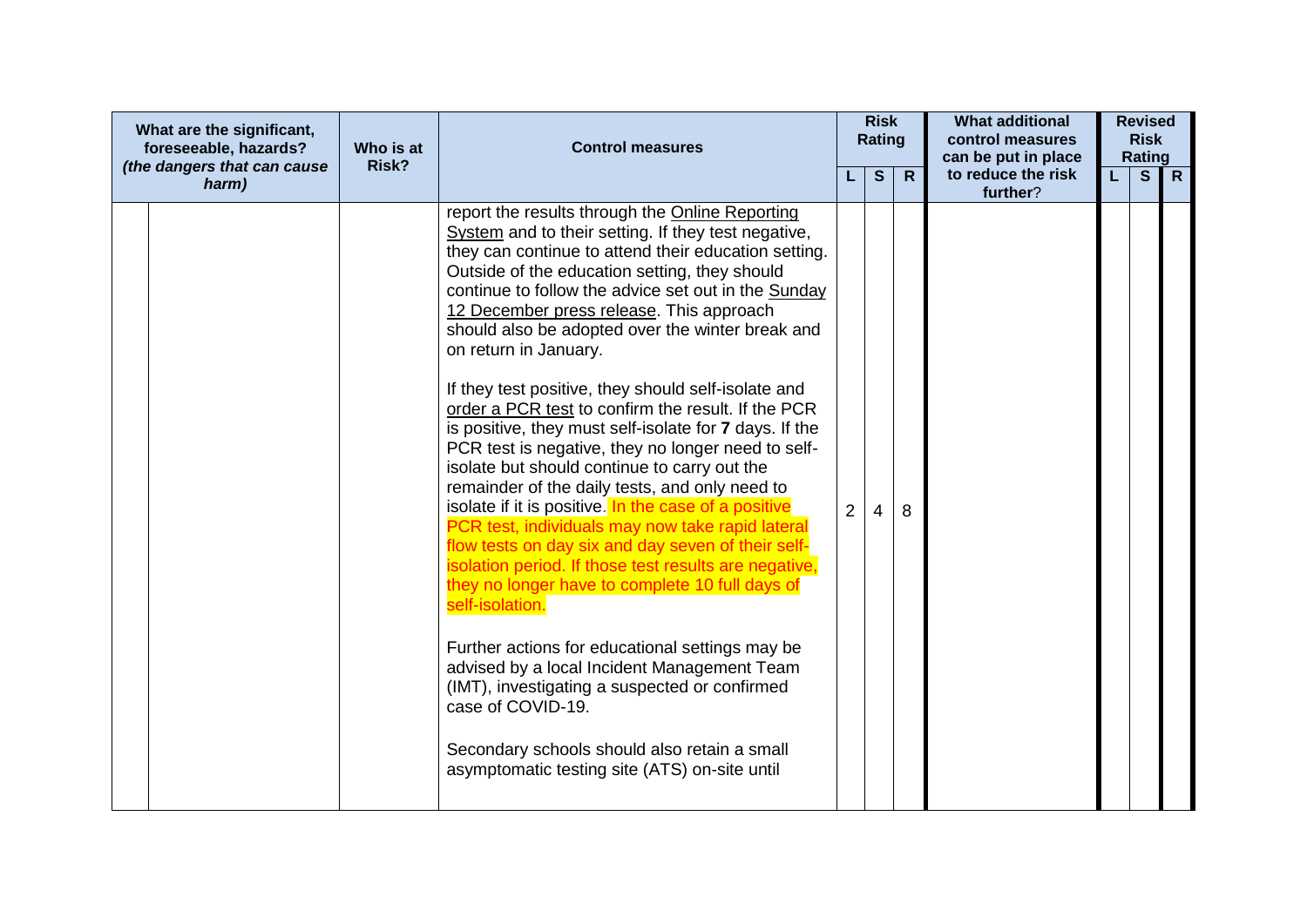| What are the significant,<br>foreseeable, hazards?<br>(the dangers that can cause | Who is at<br>Risk? | <b>Control measures</b>                                                                                                                                                                                                                                                                                                                                                                                                                                                                                                                                                                                                                                                                                                                                                                                                                                                                                                                                                                                                                                                                                                                                                                                                                                                                                  |                | <b>Risk</b><br><b>Rating</b><br>$\mathbf{s}$ | $\mathsf{R}$ | <b>What additional</b><br>control measures<br>can be put in place<br>to reduce the risk | L. | <b>Revised</b><br><b>Risk</b><br><b>Rating</b><br>S | $\overline{R}$ |
|-----------------------------------------------------------------------------------|--------------------|----------------------------------------------------------------------------------------------------------------------------------------------------------------------------------------------------------------------------------------------------------------------------------------------------------------------------------------------------------------------------------------------------------------------------------------------------------------------------------------------------------------------------------------------------------------------------------------------------------------------------------------------------------------------------------------------------------------------------------------------------------------------------------------------------------------------------------------------------------------------------------------------------------------------------------------------------------------------------------------------------------------------------------------------------------------------------------------------------------------------------------------------------------------------------------------------------------------------------------------------------------------------------------------------------------|----------------|----------------------------------------------|--------------|-----------------------------------------------------------------------------------------|----|-----------------------------------------------------|----------------|
| harm)                                                                             |                    | report the results through the Online Reporting<br>System and to their setting. If they test negative,<br>they can continue to attend their education setting.<br>Outside of the education setting, they should<br>continue to follow the advice set out in the Sunday<br>12 December press release. This approach<br>should also be adopted over the winter break and<br>on return in January.<br>If they test positive, they should self-isolate and<br>order a PCR test to confirm the result. If the PCR<br>is positive, they must self-isolate for 7 days. If the<br>PCR test is negative, they no longer need to self-<br>isolate but should continue to carry out the<br>remainder of the daily tests, and only need to<br>isolate if it is positive. In the case of a positive<br>PCR test, individuals may now take rapid lateral<br>flow tests on day six and day seven of their self-<br>isolation period. If those test results are negative,<br>they no longer have to complete 10 full days of<br>self-isolation.<br>Further actions for educational settings may be<br>advised by a local Incident Management Team<br>(IMT), investigating a suspected or confirmed<br>case of COVID-19.<br>Secondary schools should also retain a small<br>asymptomatic testing site (ATS) on-site until | $\overline{2}$ | 4                                            | 8            | further?                                                                                |    |                                                     |                |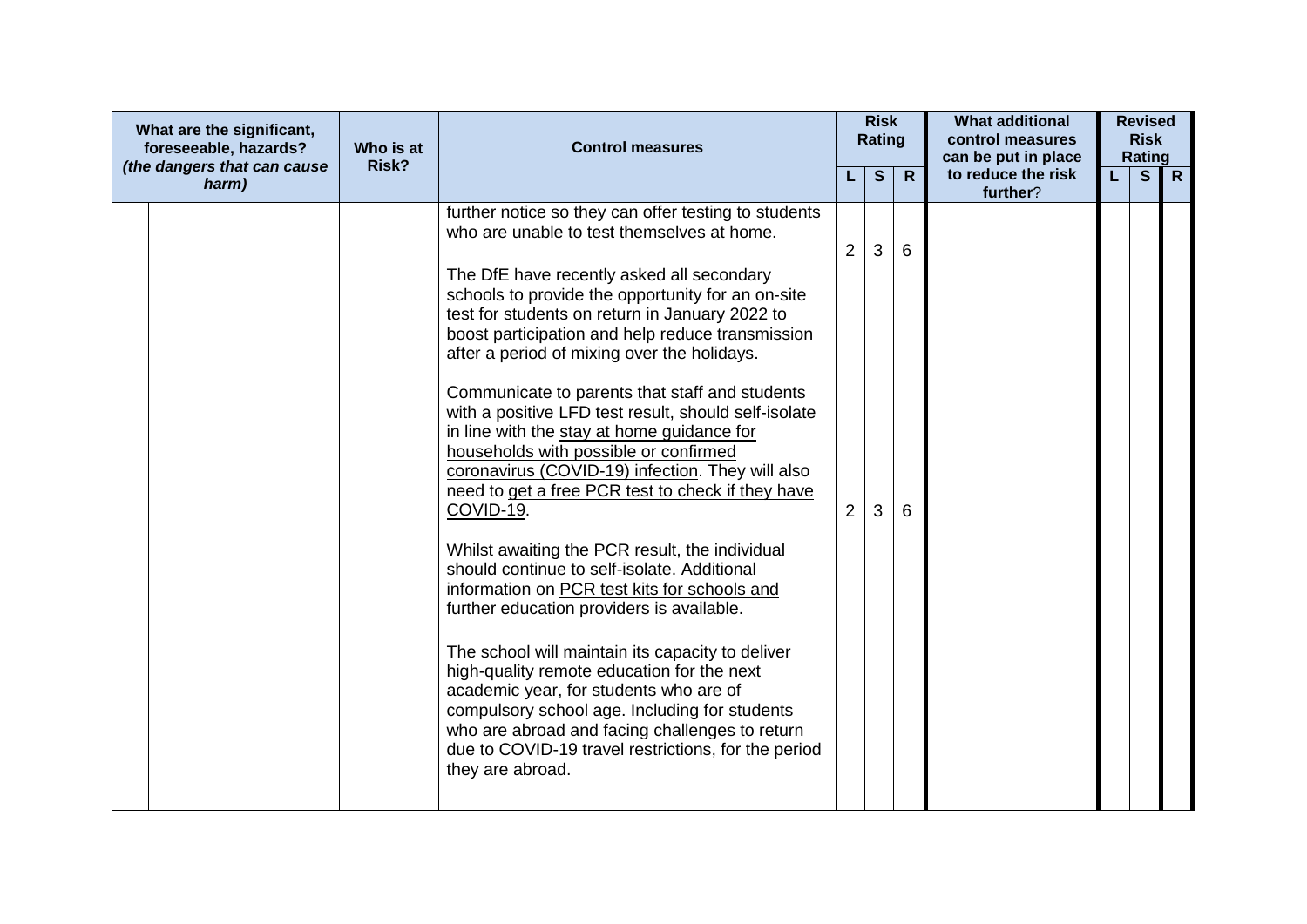| What are the significant,<br>foreseeable, hazards?<br>(the dangers that can cause | Who is at<br>Risk? | <b>Control measures</b>                                                                                                                                                                                                                                                                                                                                                                                                                                                                                                                                                                                                                                                                                                                                                                                                                                                                                                                                                                                                                                                                                                                                                                                  |                     | <b>Risk</b><br><b>Rating</b> |              | <b>What additional</b><br>control measures<br>can be put in place |    | <b>Revised</b><br><b>Risk</b><br>Rating |              |
|-----------------------------------------------------------------------------------|--------------------|----------------------------------------------------------------------------------------------------------------------------------------------------------------------------------------------------------------------------------------------------------------------------------------------------------------------------------------------------------------------------------------------------------------------------------------------------------------------------------------------------------------------------------------------------------------------------------------------------------------------------------------------------------------------------------------------------------------------------------------------------------------------------------------------------------------------------------------------------------------------------------------------------------------------------------------------------------------------------------------------------------------------------------------------------------------------------------------------------------------------------------------------------------------------------------------------------------|---------------------|------------------------------|--------------|-------------------------------------------------------------------|----|-----------------------------------------|--------------|
| harm)                                                                             |                    |                                                                                                                                                                                                                                                                                                                                                                                                                                                                                                                                                                                                                                                                                                                                                                                                                                                                                                                                                                                                                                                                                                                                                                                                          |                     | $\mathbf{s}$                 | $\mathsf{R}$ | to reduce the risk<br>further?                                    | L. | S                                       | $\mathsf{R}$ |
|                                                                                   |                    | further notice so they can offer testing to students<br>who are unable to test themselves at home.<br>The DfE have recently asked all secondary<br>schools to provide the opportunity for an on-site<br>test for students on return in January 2022 to<br>boost participation and help reduce transmission<br>after a period of mixing over the holidays.<br>Communicate to parents that staff and students<br>with a positive LFD test result, should self-isolate<br>in line with the stay at home guidance for<br>households with possible or confirmed<br>coronavirus (COVID-19) infection. They will also<br>need to get a free PCR test to check if they have<br>COVID-19.<br>Whilst awaiting the PCR result, the individual<br>should continue to self-isolate. Additional<br>information on PCR test kits for schools and<br>further education providers is available.<br>The school will maintain its capacity to deliver<br>high-quality remote education for the next<br>academic year, for students who are of<br>compulsory school age. Including for students<br>who are abroad and facing challenges to return<br>due to COVID-19 travel restrictions, for the period<br>they are abroad. | 2<br>$\overline{2}$ | 3<br>3                       | 6<br>6       |                                                                   |    |                                         |              |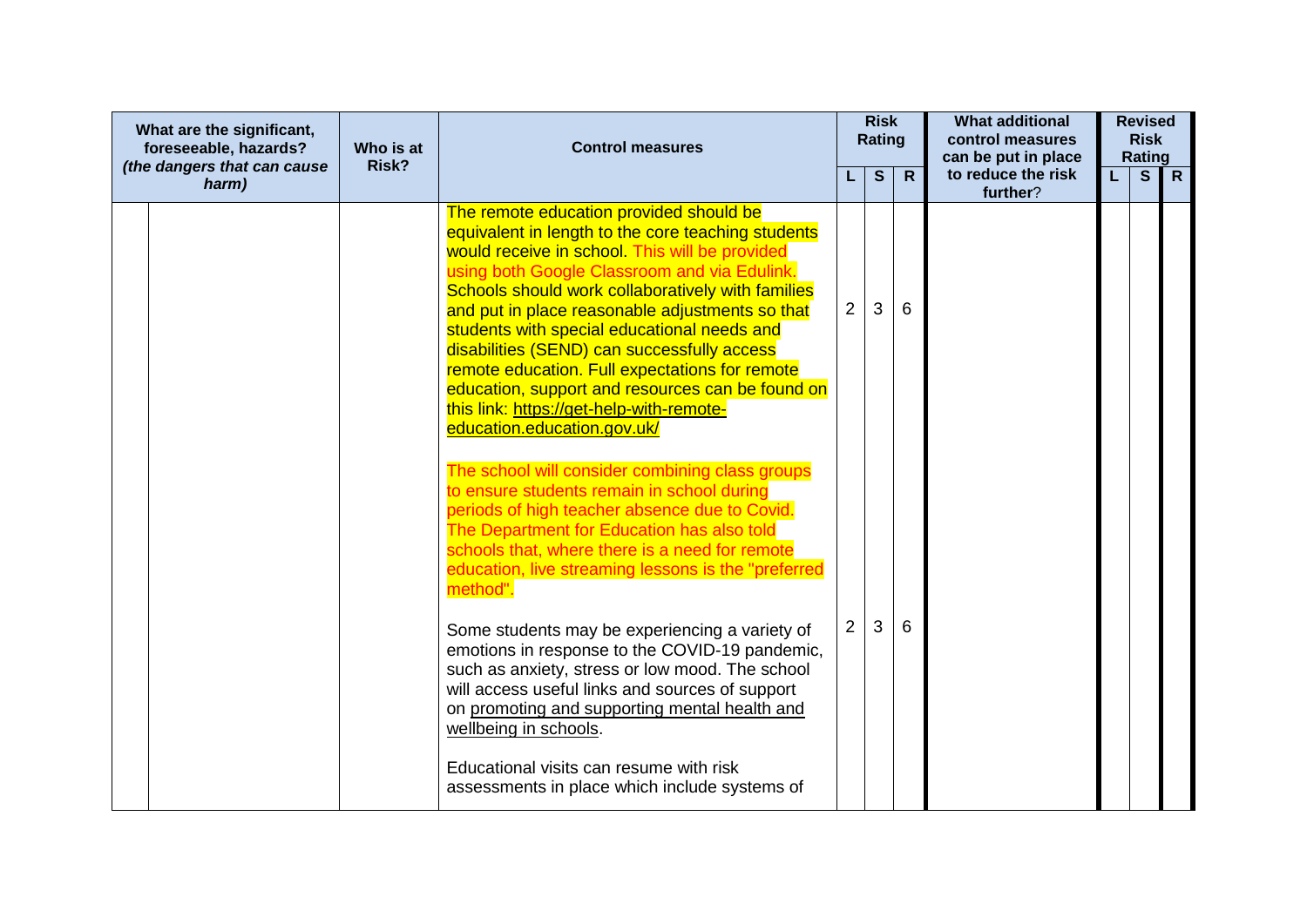| What are the significant,<br>foreseeable, hazards?<br>(the dangers that can cause | Who is at<br>Risk? | <b>Control measures</b>                                                                                                                                                                                                                                                                                                                                                                                                                                                                                                                                                                |                | <b>Risk</b><br>Rating |              | <b>What additional</b><br>control measures<br>can be put in place |    | <b>Revised</b><br><b>Risk</b><br>Rating |                |
|-----------------------------------------------------------------------------------|--------------------|----------------------------------------------------------------------------------------------------------------------------------------------------------------------------------------------------------------------------------------------------------------------------------------------------------------------------------------------------------------------------------------------------------------------------------------------------------------------------------------------------------------------------------------------------------------------------------------|----------------|-----------------------|--------------|-------------------------------------------------------------------|----|-----------------------------------------|----------------|
| harm)                                                                             |                    |                                                                                                                                                                                                                                                                                                                                                                                                                                                                                                                                                                                        |                | S                     | $\mathsf{R}$ | to reduce the risk<br>further?                                    | L. | $\mathbf{s}$                            | $\overline{R}$ |
|                                                                                   |                    | The remote education provided should be<br>equivalent in length to the core teaching students<br>would receive in school. This will be provided<br>using both Google Classroom and via Edulink.<br>Schools should work collaboratively with families<br>and put in place reasonable adjustments so that<br>students with special educational needs and<br>disabilities (SEND) can successfully access<br>remote education. Full expectations for remote<br>education, support and resources can be found on<br>this link: https://get-help-with-remote-<br>education.education.gov.uk/ | 2              | 3                     | 6            |                                                                   |    |                                         |                |
|                                                                                   |                    | The school will consider combining class groups<br>to ensure students remain in school during<br>periods of high teacher absence due to Covid.<br>The Department for Education has also told<br>schools that, where there is a need for remote<br>education, live streaming lessons is the "preferred<br>method".                                                                                                                                                                                                                                                                      |                |                       |              |                                                                   |    |                                         |                |
|                                                                                   |                    | Some students may be experiencing a variety of<br>emotions in response to the COVID-19 pandemic,<br>such as anxiety, stress or low mood. The school<br>will access useful links and sources of support<br>on promoting and supporting mental health and<br>wellbeing in schools.                                                                                                                                                                                                                                                                                                       | $\overline{2}$ | 3                     | 6            |                                                                   |    |                                         |                |
|                                                                                   |                    | Educational visits can resume with risk<br>assessments in place which include systems of                                                                                                                                                                                                                                                                                                                                                                                                                                                                                               |                |                       |              |                                                                   |    |                                         |                |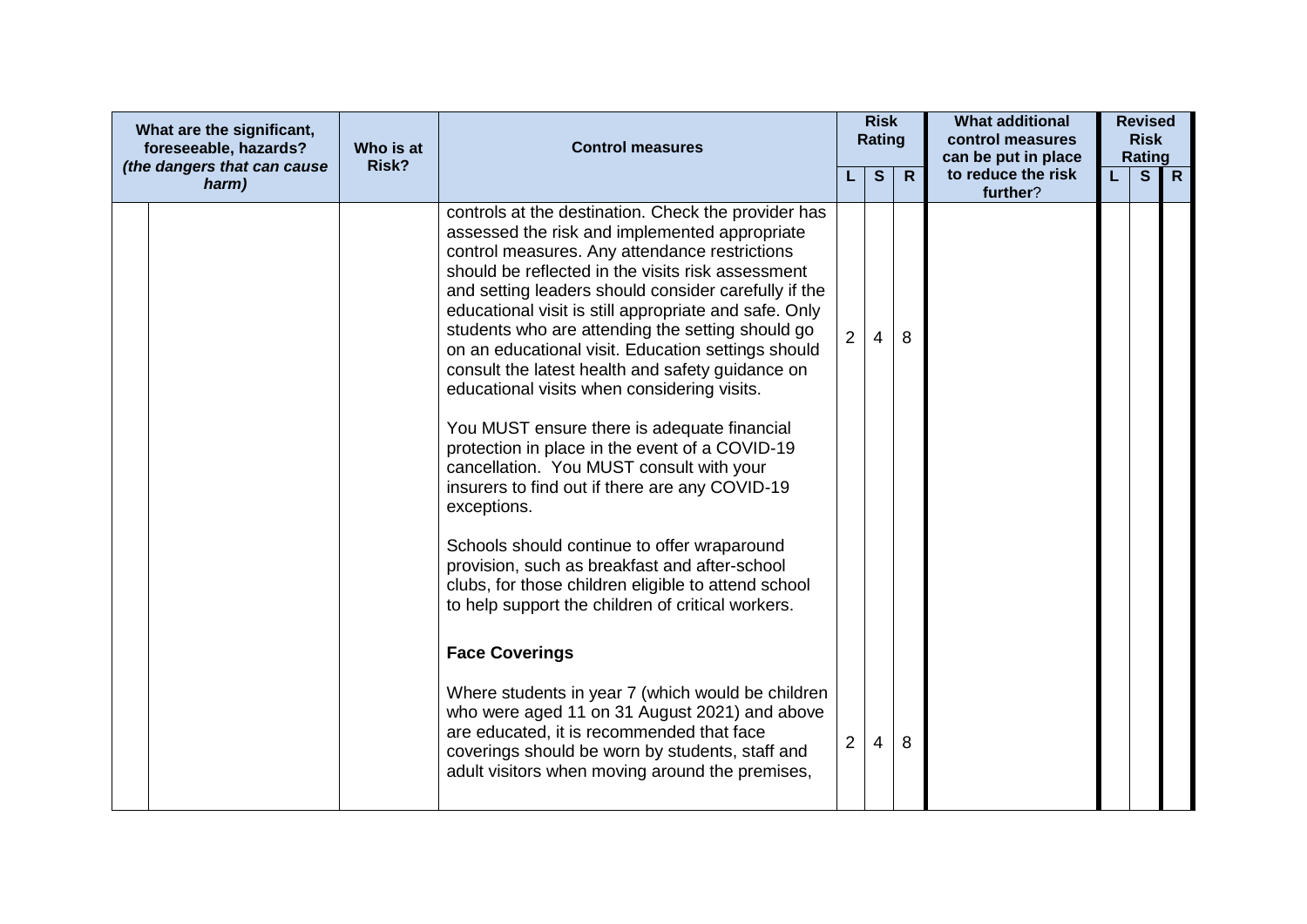| What are the significant,<br>foreseeable, hazards?<br>(the dangers that can cause | Who is at<br>Risk? | <b>Control measures</b>                                                                                                                                                                                                                                                                                                                                                                                                                                                                                                                                                                                                                                                                                                                                                                                                                                                                                                                                                                                                                          |                | <b>Risk</b><br><b>Rating</b> |              | <b>What additional</b><br>control measures<br>can be put in place |    | <b>Revised</b><br><b>Risk</b><br>Rating |              |
|-----------------------------------------------------------------------------------|--------------------|--------------------------------------------------------------------------------------------------------------------------------------------------------------------------------------------------------------------------------------------------------------------------------------------------------------------------------------------------------------------------------------------------------------------------------------------------------------------------------------------------------------------------------------------------------------------------------------------------------------------------------------------------------------------------------------------------------------------------------------------------------------------------------------------------------------------------------------------------------------------------------------------------------------------------------------------------------------------------------------------------------------------------------------------------|----------------|------------------------------|--------------|-------------------------------------------------------------------|----|-----------------------------------------|--------------|
| harm)                                                                             |                    |                                                                                                                                                                                                                                                                                                                                                                                                                                                                                                                                                                                                                                                                                                                                                                                                                                                                                                                                                                                                                                                  |                | S                            | $\mathsf{R}$ | to reduce the risk<br>further?                                    | L. | S                                       | $\mathsf{R}$ |
|                                                                                   |                    | controls at the destination. Check the provider has<br>assessed the risk and implemented appropriate<br>control measures. Any attendance restrictions<br>should be reflected in the visits risk assessment<br>and setting leaders should consider carefully if the<br>educational visit is still appropriate and safe. Only<br>students who are attending the setting should go<br>on an educational visit. Education settings should<br>consult the latest health and safety guidance on<br>educational visits when considering visits.<br>You MUST ensure there is adequate financial<br>protection in place in the event of a COVID-19<br>cancellation. You MUST consult with your<br>insurers to find out if there are any COVID-19<br>exceptions.<br>Schools should continue to offer wraparound<br>provision, such as breakfast and after-school<br>clubs, for those children eligible to attend school<br>to help support the children of critical workers.<br><b>Face Coverings</b><br>Where students in year 7 (which would be children | $\overline{2}$ | 4                            | 8            |                                                                   |    |                                         |              |
|                                                                                   |                    | who were aged 11 on 31 August 2021) and above<br>are educated, it is recommended that face<br>coverings should be worn by students, staff and<br>adult visitors when moving around the premises,                                                                                                                                                                                                                                                                                                                                                                                                                                                                                                                                                                                                                                                                                                                                                                                                                                                 | 2              | 4                            | 8            |                                                                   |    |                                         |              |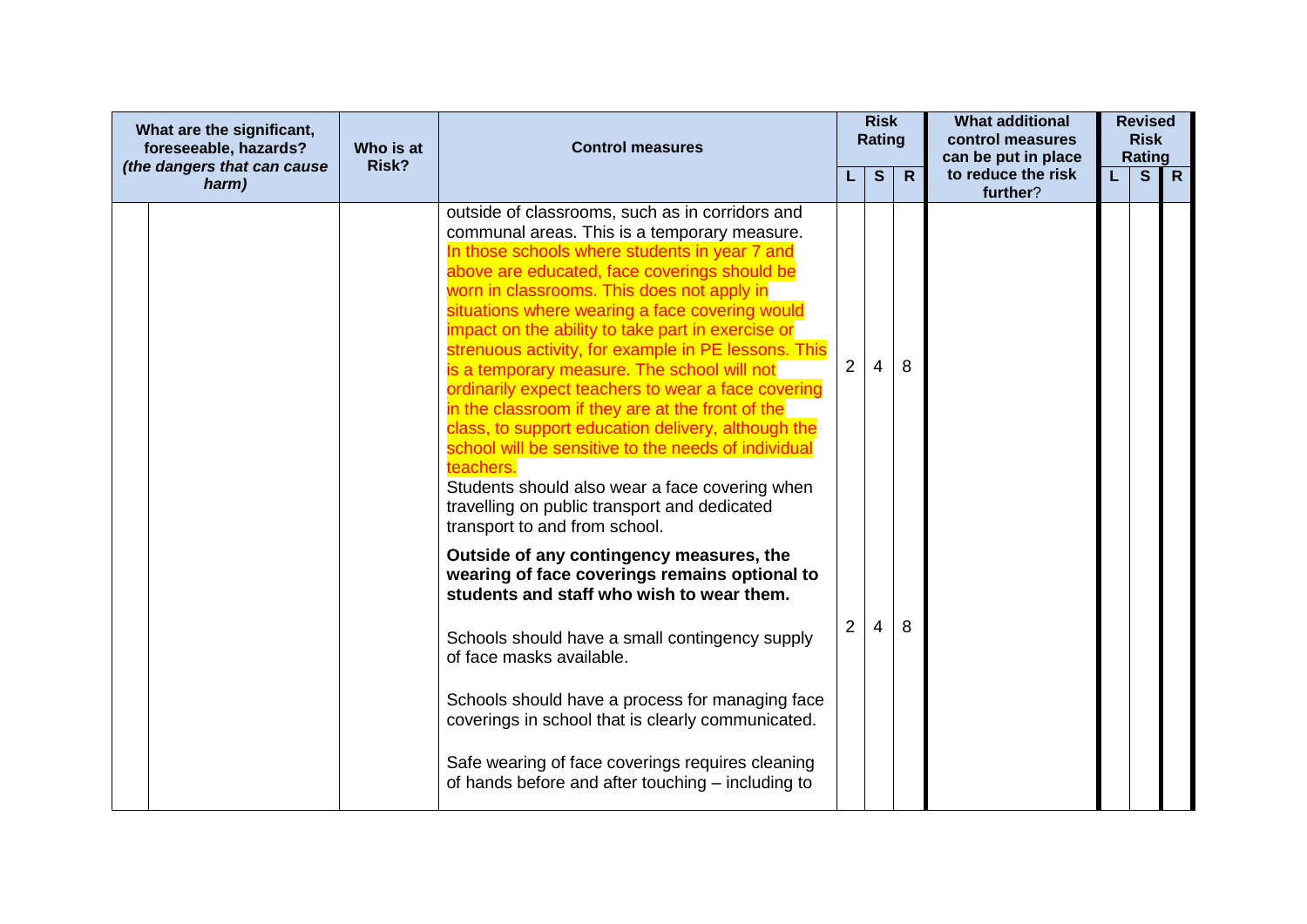| What are the significant,<br>foreseeable, hazards?<br>(the dangers that can cause | Who is at<br>Risk? | <b>Control measures</b>                                                                                                                                                                                                                                                                                                                                                                                                                                                                                                                                                                                                                                                                                                                                                                                                            |                | <b>Risk</b><br><b>Rating</b> |              | <b>What additional</b><br>control measures<br>can be put in place |    | <b>Revised</b><br><b>Risk</b><br>Rating |                |
|-----------------------------------------------------------------------------------|--------------------|------------------------------------------------------------------------------------------------------------------------------------------------------------------------------------------------------------------------------------------------------------------------------------------------------------------------------------------------------------------------------------------------------------------------------------------------------------------------------------------------------------------------------------------------------------------------------------------------------------------------------------------------------------------------------------------------------------------------------------------------------------------------------------------------------------------------------------|----------------|------------------------------|--------------|-------------------------------------------------------------------|----|-----------------------------------------|----------------|
| harm)                                                                             |                    |                                                                                                                                                                                                                                                                                                                                                                                                                                                                                                                                                                                                                                                                                                                                                                                                                                    |                | S                            | $\mathsf{R}$ | to reduce the risk<br>further?                                    | L. | $\mathbf{s}$                            | $\overline{R}$ |
|                                                                                   |                    | outside of classrooms, such as in corridors and<br>communal areas. This is a temporary measure.<br>In those schools where students in year 7 and<br>above are educated, face coverings should be<br>worn in classrooms. This does not apply in<br>situations where wearing a face covering would<br>impact on the ability to take part in exercise or<br>strenuous activity, for example in PE lessons. This<br>is a temporary measure. The school will not<br>ordinarily expect teachers to wear a face covering<br>in the classroom if they are at the front of the<br>class, to support education delivery, although the<br>school will be sensitive to the needs of individual<br>teachers.<br>Students should also wear a face covering when<br>travelling on public transport and dedicated<br>transport to and from school. | $\overline{2}$ | 4                            | 8            |                                                                   |    |                                         |                |
|                                                                                   |                    | Outside of any contingency measures, the<br>wearing of face coverings remains optional to<br>students and staff who wish to wear them.<br>Schools should have a small contingency supply<br>of face masks available.<br>Schools should have a process for managing face<br>coverings in school that is clearly communicated.<br>Safe wearing of face coverings requires cleaning<br>of hands before and after touching – including to                                                                                                                                                                                                                                                                                                                                                                                              | $\overline{2}$ | 4                            | 8            |                                                                   |    |                                         |                |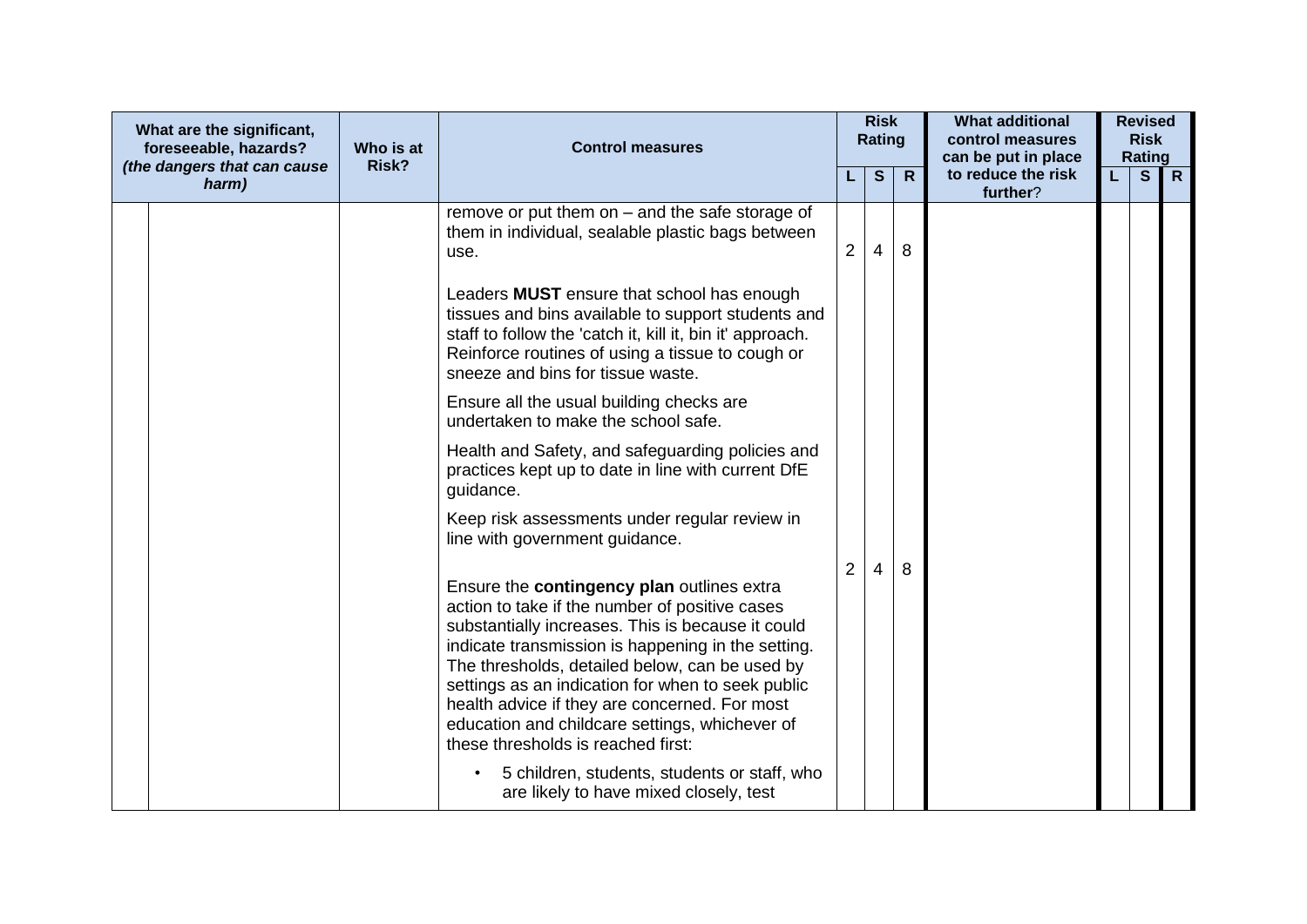| What are the significant,<br>foreseeable, hazards?<br>(the dangers that can cause | Who is at<br>Risk? | <b>Control measures</b>                                                                                                                                                                                                                                                                                                                                                                                                                                 |                | <b>Risk</b><br>Rating |              | <b>What additional</b><br>control measures<br>can be put in place | <b>Revised</b><br><b>Risk</b><br>Rating |              |
|-----------------------------------------------------------------------------------|--------------------|---------------------------------------------------------------------------------------------------------------------------------------------------------------------------------------------------------------------------------------------------------------------------------------------------------------------------------------------------------------------------------------------------------------------------------------------------------|----------------|-----------------------|--------------|-------------------------------------------------------------------|-----------------------------------------|--------------|
| harm)                                                                             |                    |                                                                                                                                                                                                                                                                                                                                                                                                                                                         |                | $\mathbf{s}$          | $\mathsf{R}$ | to reduce the risk<br>further?                                    | S                                       | $\mathsf{R}$ |
|                                                                                   |                    | remove or put them on $-$ and the safe storage of<br>them in individual, sealable plastic bags between<br>use.                                                                                                                                                                                                                                                                                                                                          | $2^{\circ}$    | 4                     | 8            |                                                                   |                                         |              |
|                                                                                   |                    | Leaders <b>MUST</b> ensure that school has enough<br>tissues and bins available to support students and<br>staff to follow the 'catch it, kill it, bin it' approach.<br>Reinforce routines of using a tissue to cough or<br>sneeze and bins for tissue waste.                                                                                                                                                                                           |                |                       |              |                                                                   |                                         |              |
|                                                                                   |                    | Ensure all the usual building checks are<br>undertaken to make the school safe.                                                                                                                                                                                                                                                                                                                                                                         |                |                       |              |                                                                   |                                         |              |
|                                                                                   |                    | Health and Safety, and safeguarding policies and<br>practices kept up to date in line with current DfE<br>guidance.                                                                                                                                                                                                                                                                                                                                     |                |                       |              |                                                                   |                                         |              |
|                                                                                   |                    | Keep risk assessments under regular review in<br>line with government guidance.                                                                                                                                                                                                                                                                                                                                                                         |                |                       |              |                                                                   |                                         |              |
|                                                                                   |                    | Ensure the contingency plan outlines extra<br>action to take if the number of positive cases<br>substantially increases. This is because it could<br>indicate transmission is happening in the setting.<br>The thresholds, detailed below, can be used by<br>settings as an indication for when to seek public<br>health advice if they are concerned. For most<br>education and childcare settings, whichever of<br>these thresholds is reached first: | $\overline{2}$ | 4                     | 8            |                                                                   |                                         |              |
|                                                                                   |                    | 5 children, students, students or staff, who<br>are likely to have mixed closely, test                                                                                                                                                                                                                                                                                                                                                                  |                |                       |              |                                                                   |                                         |              |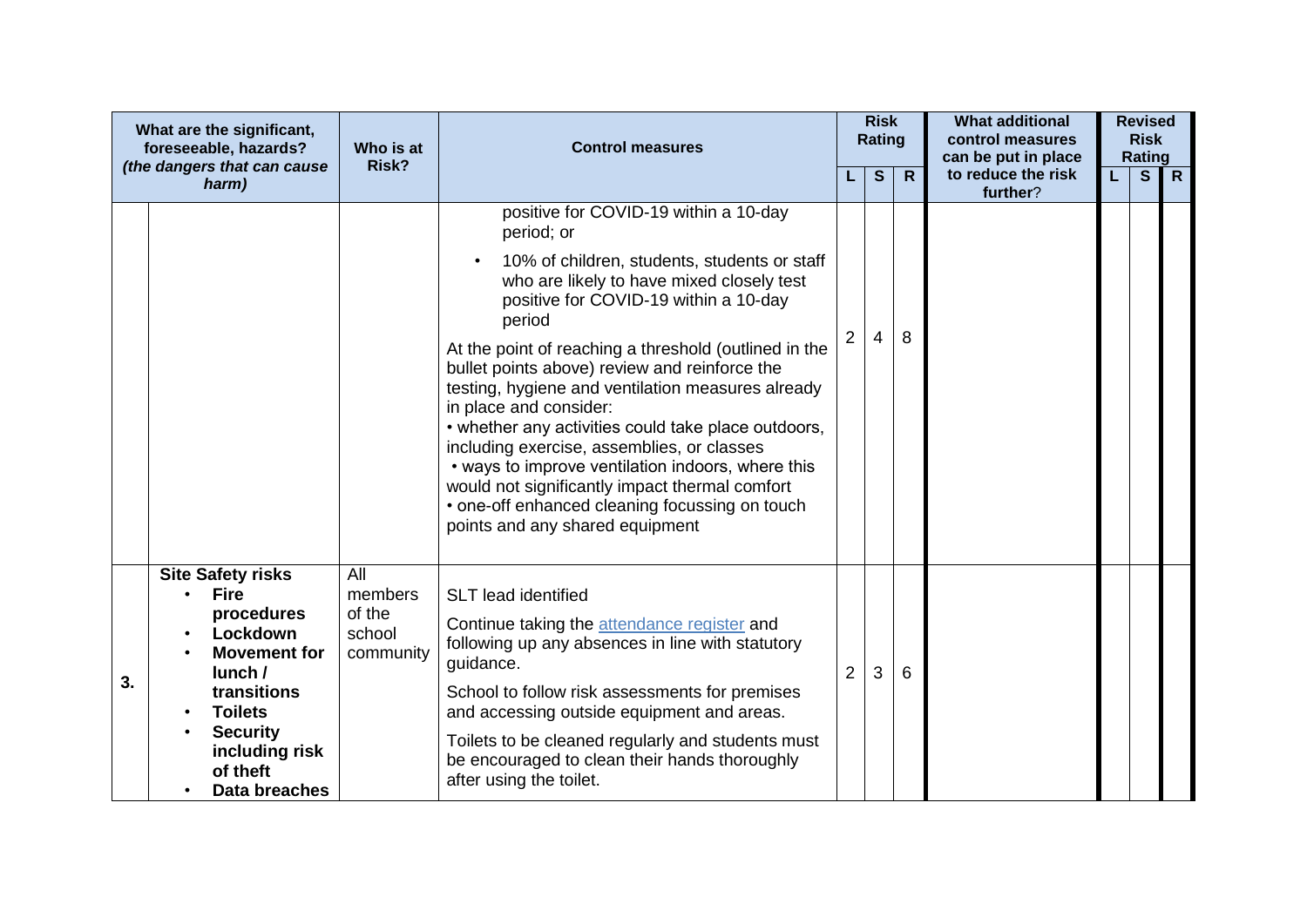|    | What are the significant,<br>foreseeable, hazards?<br>(the dangers that can cause                                                                                                                     | Who is at<br>Risk?                              | <b>Control measures</b>                                                                                                                                                                                                                                                                                                                                                                                                                                                                                                                                                                                                                                                                                    |                | <b>Risk</b><br><b>Rating</b> | $\mathsf{R}$ | <b>What additional</b><br>control measures<br>can be put in place<br>to reduce the risk |   | <b>Revised</b><br><b>Risk</b><br><b>Rating</b> | $\mathsf{R}$ |
|----|-------------------------------------------------------------------------------------------------------------------------------------------------------------------------------------------------------|-------------------------------------------------|------------------------------------------------------------------------------------------------------------------------------------------------------------------------------------------------------------------------------------------------------------------------------------------------------------------------------------------------------------------------------------------------------------------------------------------------------------------------------------------------------------------------------------------------------------------------------------------------------------------------------------------------------------------------------------------------------------|----------------|------------------------------|--------------|-----------------------------------------------------------------------------------------|---|------------------------------------------------|--------------|
|    | harm)                                                                                                                                                                                                 |                                                 |                                                                                                                                                                                                                                                                                                                                                                                                                                                                                                                                                                                                                                                                                                            |                | $\mathbf{s}$                 |              | further?                                                                                | L | $\mathbf{s}$                                   |              |
|    |                                                                                                                                                                                                       |                                                 | positive for COVID-19 within a 10-day<br>period; or<br>10% of children, students, students or staff<br>$\bullet$<br>who are likely to have mixed closely test<br>positive for COVID-19 within a 10-day<br>period<br>At the point of reaching a threshold (outlined in the<br>bullet points above) review and reinforce the<br>testing, hygiene and ventilation measures already<br>in place and consider:<br>• whether any activities could take place outdoors,<br>including exercise, assemblies, or classes<br>• ways to improve ventilation indoors, where this<br>would not significantly impact thermal comfort<br>• one-off enhanced cleaning focussing on touch<br>points and any shared equipment | 2              | 4                            | 8            |                                                                                         |   |                                                |              |
| 3. | <b>Site Safety risks</b><br><b>Fire</b><br>procedures<br>Lockdown<br><b>Movement for</b><br>lunch/<br>transitions<br><b>Toilets</b><br><b>Security</b><br>including risk<br>of theft<br>Data breaches | All<br>members<br>of the<br>school<br>community | <b>SLT</b> lead identified<br>Continue taking the attendance register and<br>following up any absences in line with statutory<br>guidance.<br>School to follow risk assessments for premises<br>and accessing outside equipment and areas.<br>Toilets to be cleaned regularly and students must<br>be encouraged to clean their hands thoroughly<br>after using the toilet.                                                                                                                                                                                                                                                                                                                                | $\overline{2}$ | 3                            | 6            |                                                                                         |   |                                                |              |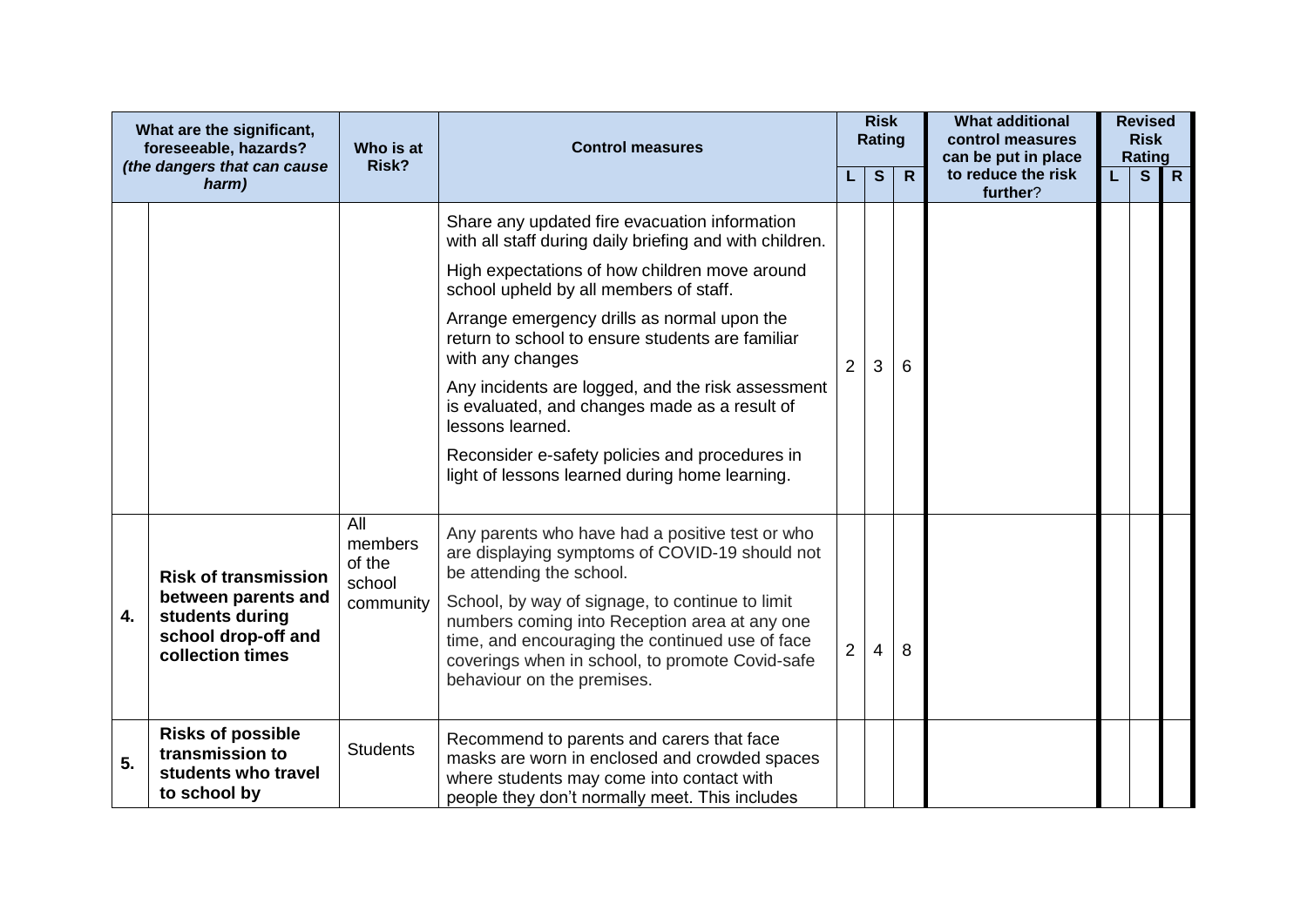| What are the significant,<br>foreseeable, hazards?<br>(the dangers that can cause |                                                                                                                  | Who is at<br>Risk?                              | <b>Control measures</b>                                                                                                                                                                                                                                                                                                                                               |                | <b>Risk</b><br>Rating |              | <b>What additional</b><br>control measures<br>can be put in place |   | <b>Revised</b><br><b>Risk</b><br>Rating |  |
|-----------------------------------------------------------------------------------|------------------------------------------------------------------------------------------------------------------|-------------------------------------------------|-----------------------------------------------------------------------------------------------------------------------------------------------------------------------------------------------------------------------------------------------------------------------------------------------------------------------------------------------------------------------|----------------|-----------------------|--------------|-------------------------------------------------------------------|---|-----------------------------------------|--|
|                                                                                   | harm)                                                                                                            |                                                 |                                                                                                                                                                                                                                                                                                                                                                       |                | S                     | $\mathsf{R}$ | to reduce the risk<br>further?                                    | S | $\mathsf{R}$                            |  |
|                                                                                   |                                                                                                                  |                                                 | Share any updated fire evacuation information<br>with all staff during daily briefing and with children.                                                                                                                                                                                                                                                              |                |                       |              |                                                                   |   |                                         |  |
|                                                                                   |                                                                                                                  |                                                 | High expectations of how children move around<br>school upheld by all members of staff.                                                                                                                                                                                                                                                                               |                |                       |              |                                                                   |   |                                         |  |
|                                                                                   |                                                                                                                  |                                                 | Arrange emergency drills as normal upon the<br>return to school to ensure students are familiar<br>with any changes                                                                                                                                                                                                                                                   | $\overline{2}$ | 3                     | 6            |                                                                   |   |                                         |  |
|                                                                                   |                                                                                                                  |                                                 | Any incidents are logged, and the risk assessment<br>is evaluated, and changes made as a result of<br>lessons learned.                                                                                                                                                                                                                                                |                |                       |              |                                                                   |   |                                         |  |
|                                                                                   |                                                                                                                  |                                                 | Reconsider e-safety policies and procedures in<br>light of lessons learned during home learning.                                                                                                                                                                                                                                                                      |                |                       |              |                                                                   |   |                                         |  |
| 4.                                                                                | <b>Risk of transmission</b><br>between parents and<br>students during<br>school drop-off and<br>collection times | All<br>members<br>of the<br>school<br>community | Any parents who have had a positive test or who<br>are displaying symptoms of COVID-19 should not<br>be attending the school.<br>School, by way of signage, to continue to limit<br>numbers coming into Reception area at any one<br>time, and encouraging the continued use of face<br>coverings when in school, to promote Covid-safe<br>behaviour on the premises. | $\overline{2}$ | 4                     | 8            |                                                                   |   |                                         |  |
| 5.                                                                                | <b>Risks of possible</b><br>transmission to<br>students who travel<br>to school by                               | <b>Students</b>                                 | Recommend to parents and carers that face<br>masks are worn in enclosed and crowded spaces<br>where students may come into contact with<br>people they don't normally meet. This includes                                                                                                                                                                             |                |                       |              |                                                                   |   |                                         |  |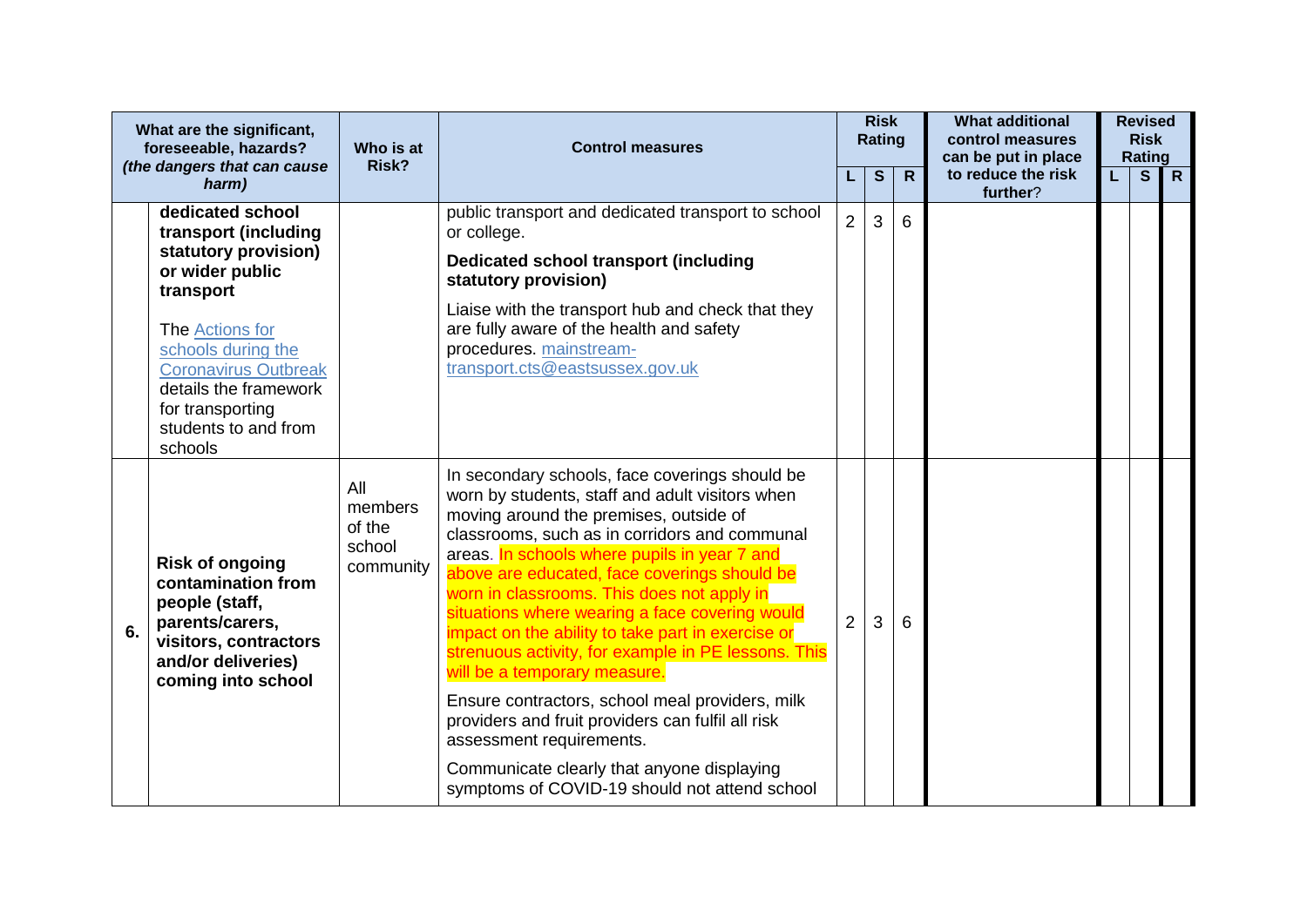|         | What are the significant,<br>foreseeable, hazards?<br>(the dangers that can cause                                                                      | Who is at<br>Risk?                                                                                                               | <b>Control measures</b>                                                                                                                                                                                                                                                                                                                                                                                                                                                                                                                  |                | <b>Risk</b><br>Rating |              | <b>What additional</b><br>control measures<br>can be put in place |   | <b>Revised</b><br><b>Risk</b><br>Rating |                |
|---------|--------------------------------------------------------------------------------------------------------------------------------------------------------|----------------------------------------------------------------------------------------------------------------------------------|------------------------------------------------------------------------------------------------------------------------------------------------------------------------------------------------------------------------------------------------------------------------------------------------------------------------------------------------------------------------------------------------------------------------------------------------------------------------------------------------------------------------------------------|----------------|-----------------------|--------------|-------------------------------------------------------------------|---|-----------------------------------------|----------------|
|         | harm)                                                                                                                                                  |                                                                                                                                  |                                                                                                                                                                                                                                                                                                                                                                                                                                                                                                                                          |                | S                     | $\mathsf{R}$ | to reduce the risk<br>further?                                    | L | S                                       | $\overline{R}$ |
|         | dedicated school<br>transport (including                                                                                                               |                                                                                                                                  | public transport and dedicated transport to school<br>or college.                                                                                                                                                                                                                                                                                                                                                                                                                                                                        | $\overline{2}$ | 3                     | 6            |                                                                   |   |                                         |                |
|         | statutory provision)<br>or wider public<br>transport                                                                                                   |                                                                                                                                  | <b>Dedicated school transport (including</b><br>statutory provision)                                                                                                                                                                                                                                                                                                                                                                                                                                                                     |                |                       |              |                                                                   |   |                                         |                |
| schools | The <b>Actions</b> for<br>schools during the<br><b>Coronavirus Outbreak</b><br>details the framework<br>for transporting<br>students to and from       |                                                                                                                                  | Liaise with the transport hub and check that they<br>are fully aware of the health and safety<br>procedures. mainstream-<br>transport.cts@eastsussex.gov.uk                                                                                                                                                                                                                                                                                                                                                                              |                |                       |              |                                                                   |   |                                         |                |
| 6.      | <b>Risk of ongoing</b><br>contamination from<br>people (staff,<br>parents/carers,<br>visitors, contractors<br>and/or deliveries)<br>coming into school | All<br>members<br>of the<br>school<br>community                                                                                  | In secondary schools, face coverings should be<br>worn by students, staff and adult visitors when<br>moving around the premises, outside of<br>classrooms, such as in corridors and communal<br>areas. In schools where pupils in year 7 and<br>above are educated, face coverings should be<br>worn in classrooms. This does not apply in<br>situations where wearing a face covering would<br>impact on the ability to take part in exercise or<br>strenuous activity, for example in PE lessons. This<br>will be a temporary measure. | $\overline{2}$ | 3                     | 6            |                                                                   |   |                                         |                |
|         |                                                                                                                                                        | Ensure contractors, school meal providers, milk<br>providers and fruit providers can fulfil all risk<br>assessment requirements. |                                                                                                                                                                                                                                                                                                                                                                                                                                                                                                                                          |                |                       |              |                                                                   |   |                                         |                |
|         |                                                                                                                                                        |                                                                                                                                  | Communicate clearly that anyone displaying<br>symptoms of COVID-19 should not attend school                                                                                                                                                                                                                                                                                                                                                                                                                                              |                |                       |              |                                                                   |   |                                         |                |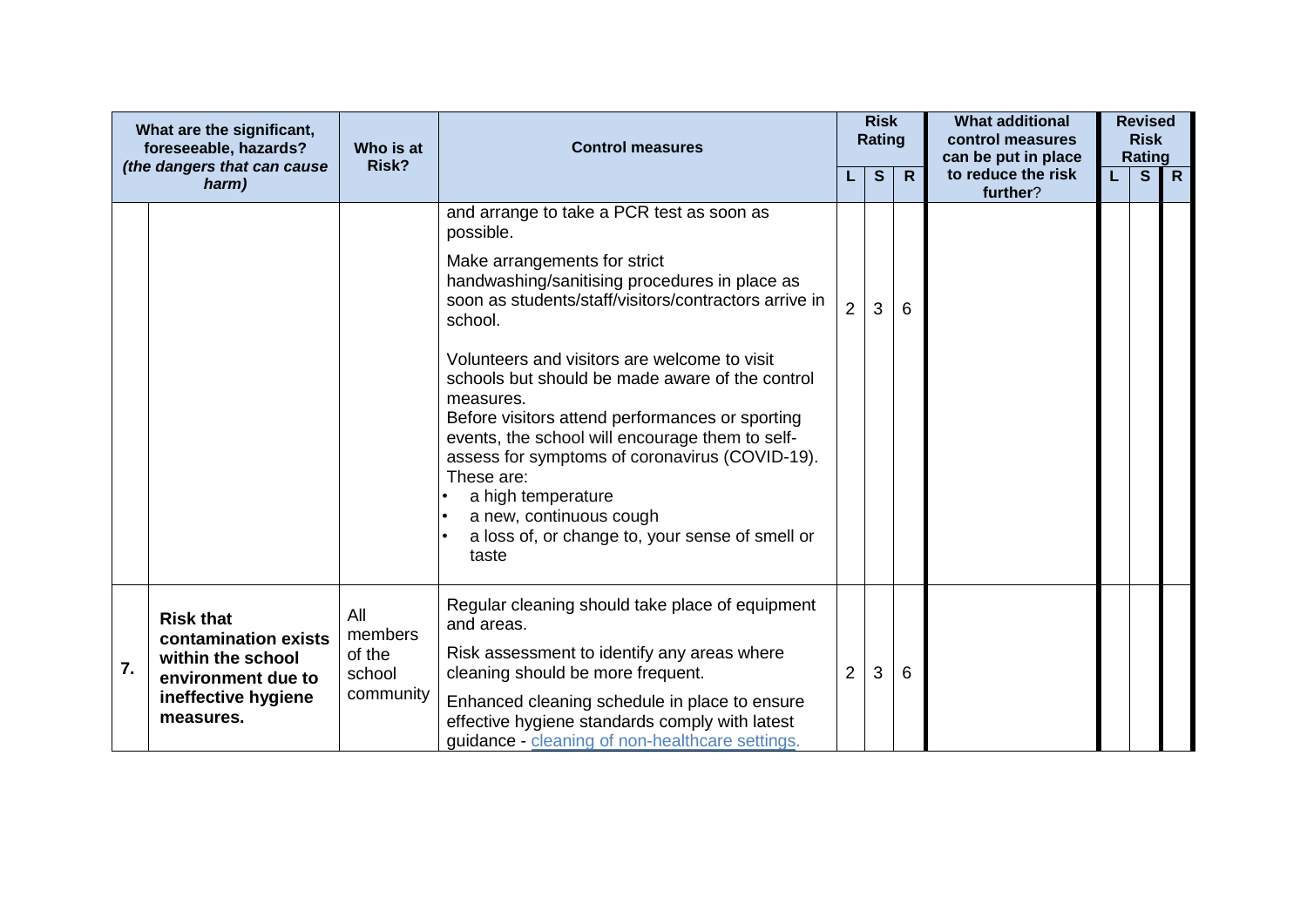|    | What are the significant,<br>foreseeable, hazards?                                                                      | Who is at                                       | <b>Control measures</b>                                                                                                                                                                                                                                                                                                                                                                                                                                                                                                 |                | <b>Risk</b><br><b>Rating</b> |              | <b>What additional</b><br>control measures<br>can be put in place |   | <b>Revised</b><br><b>Risk</b><br>Rating |              |
|----|-------------------------------------------------------------------------------------------------------------------------|-------------------------------------------------|-------------------------------------------------------------------------------------------------------------------------------------------------------------------------------------------------------------------------------------------------------------------------------------------------------------------------------------------------------------------------------------------------------------------------------------------------------------------------------------------------------------------------|----------------|------------------------------|--------------|-------------------------------------------------------------------|---|-----------------------------------------|--------------|
|    | (the dangers that can cause<br>harm)                                                                                    | Risk?                                           |                                                                                                                                                                                                                                                                                                                                                                                                                                                                                                                         |                | S                            | $\mathsf{R}$ | to reduce the risk<br>further?                                    | L | S                                       | $\mathsf{R}$ |
|    |                                                                                                                         |                                                 | and arrange to take a PCR test as soon as<br>possible.<br>Make arrangements for strict<br>handwashing/sanitising procedures in place as<br>soon as students/staff/visitors/contractors arrive in<br>school.<br>Volunteers and visitors are welcome to visit<br>schools but should be made aware of the control<br>measures.<br>Before visitors attend performances or sporting<br>events, the school will encourage them to self-<br>assess for symptoms of coronavirus (COVID-19).<br>These are:<br>a high temperature | $\overline{2}$ | 3                            | 6            |                                                                   |   |                                         |              |
|    |                                                                                                                         |                                                 | a new, continuous cough<br>a loss of, or change to, your sense of smell or<br>taste                                                                                                                                                                                                                                                                                                                                                                                                                                     |                |                              |              |                                                                   |   |                                         |              |
| 7. | <b>Risk that</b><br>contamination exists<br>within the school<br>environment due to<br>ineffective hygiene<br>measures. | All<br>members<br>of the<br>school<br>community | Regular cleaning should take place of equipment<br>and areas.<br>Risk assessment to identify any areas where<br>cleaning should be more frequent.<br>Enhanced cleaning schedule in place to ensure<br>effective hygiene standards comply with latest<br>guidance - cleaning of non-healthcare settings.                                                                                                                                                                                                                 | 2              | 3                            | 6            |                                                                   |   |                                         |              |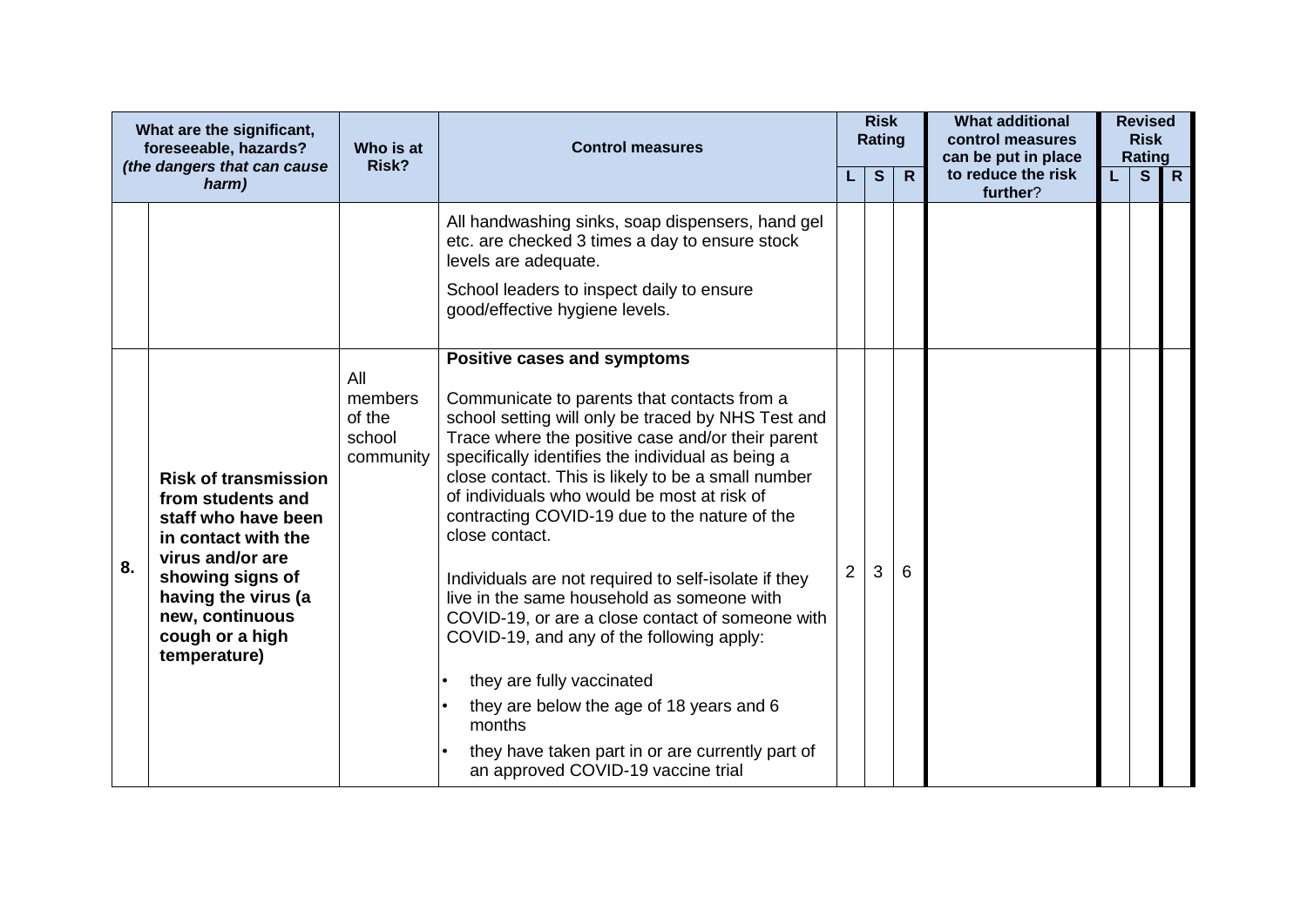|    | What are the significant,<br>foreseeable, hazards?<br>(the dangers that can cause                                                                                                                                   | Who is at<br>Risk?                              | <b>Control measures</b>                                                                                                                                                                                                                                                                                                                                                                                                                                                                                                                                                                                                                                                                                                                                                                                |                | <b>Risk</b><br>Rating |              | <b>What additional</b><br>control measures<br>can be put in place |    | <b>Revised</b><br><b>Risk</b><br>Rating |                |
|----|---------------------------------------------------------------------------------------------------------------------------------------------------------------------------------------------------------------------|-------------------------------------------------|--------------------------------------------------------------------------------------------------------------------------------------------------------------------------------------------------------------------------------------------------------------------------------------------------------------------------------------------------------------------------------------------------------------------------------------------------------------------------------------------------------------------------------------------------------------------------------------------------------------------------------------------------------------------------------------------------------------------------------------------------------------------------------------------------------|----------------|-----------------------|--------------|-------------------------------------------------------------------|----|-----------------------------------------|----------------|
|    | harm)                                                                                                                                                                                                               |                                                 |                                                                                                                                                                                                                                                                                                                                                                                                                                                                                                                                                                                                                                                                                                                                                                                                        |                | $\mathbf{s}$          | $\mathsf{R}$ | to reduce the risk<br>further?                                    | L. | S                                       | $\overline{R}$ |
|    |                                                                                                                                                                                                                     |                                                 | All handwashing sinks, soap dispensers, hand gel<br>etc. are checked 3 times a day to ensure stock<br>levels are adequate.<br>School leaders to inspect daily to ensure<br>good/effective hygiene levels.                                                                                                                                                                                                                                                                                                                                                                                                                                                                                                                                                                                              |                |                       |              |                                                                   |    |                                         |                |
| 8. | <b>Risk of transmission</b><br>from students and<br>staff who have been<br>in contact with the<br>virus and/or are<br>showing signs of<br>having the virus (a<br>new, continuous<br>cough or a high<br>temperature) | All<br>members<br>of the<br>school<br>community | Positive cases and symptoms<br>Communicate to parents that contacts from a<br>school setting will only be traced by NHS Test and<br>Trace where the positive case and/or their parent<br>specifically identifies the individual as being a<br>close contact. This is likely to be a small number<br>of individuals who would be most at risk of<br>contracting COVID-19 due to the nature of the<br>close contact.<br>Individuals are not required to self-isolate if they<br>live in the same household as someone with<br>COVID-19, or are a close contact of someone with<br>COVID-19, and any of the following apply:<br>they are fully vaccinated<br>they are below the age of 18 years and 6<br>months<br>they have taken part in or are currently part of<br>an approved COVID-19 vaccine trial | $\overline{2}$ | 3                     | 6            |                                                                   |    |                                         |                |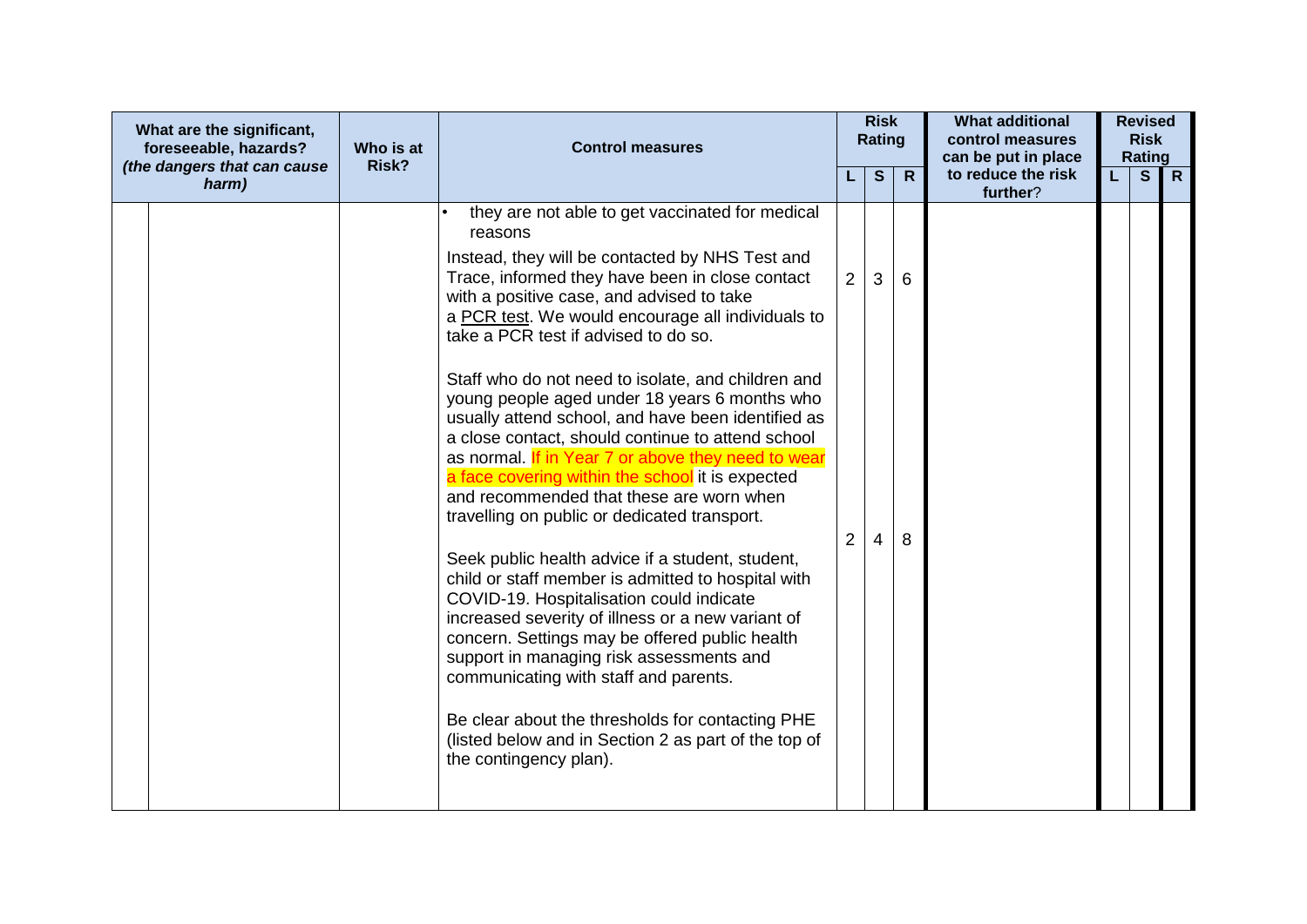| What are the significant,<br>foreseeable, hazards?<br>(the dangers that can cause |       | Who is at<br>Risk? | <b>Control measures</b>                                                                                                                                                                                                                                                                                                                                                                                                                                                                                                                                                                                                                                                                    |                | <b>Risk</b><br><b>Rating</b> |              | <b>What additional</b><br>control measures<br>can be put in place |    | <b>Revised</b><br><b>Risk</b><br>Rating |              |  |
|-----------------------------------------------------------------------------------|-------|--------------------|--------------------------------------------------------------------------------------------------------------------------------------------------------------------------------------------------------------------------------------------------------------------------------------------------------------------------------------------------------------------------------------------------------------------------------------------------------------------------------------------------------------------------------------------------------------------------------------------------------------------------------------------------------------------------------------------|----------------|------------------------------|--------------|-------------------------------------------------------------------|----|-----------------------------------------|--------------|--|
|                                                                                   | harm) |                    |                                                                                                                                                                                                                                                                                                                                                                                                                                                                                                                                                                                                                                                                                            |                | S                            | $\mathsf{R}$ | to reduce the risk<br>further?                                    | L. | S                                       | $\mathsf{R}$ |  |
|                                                                                   |       |                    | they are not able to get vaccinated for medical<br>reasons<br>Instead, they will be contacted by NHS Test and<br>Trace, informed they have been in close contact<br>with a positive case, and advised to take<br>a PCR test. We would encourage all individuals to<br>take a PCR test if advised to do so.<br>Staff who do not need to isolate, and children and<br>young people aged under 18 years 6 months who<br>usually attend school, and have been identified as<br>a close contact, should continue to attend school                                                                                                                                                               | 2              | 3                            | 6            |                                                                   |    |                                         |              |  |
|                                                                                   |       |                    | as normal. If in Year 7 or above they need to wear<br>a face covering within the school it is expected<br>and recommended that these are worn when<br>travelling on public or dedicated transport.<br>Seek public health advice if a student, student,<br>child or staff member is admitted to hospital with<br>COVID-19. Hospitalisation could indicate<br>increased severity of illness or a new variant of<br>concern. Settings may be offered public health<br>support in managing risk assessments and<br>communicating with staff and parents.<br>Be clear about the thresholds for contacting PHE<br>(listed below and in Section 2 as part of the top of<br>the contingency plan). | $\overline{2}$ | 4                            | 8            |                                                                   |    |                                         |              |  |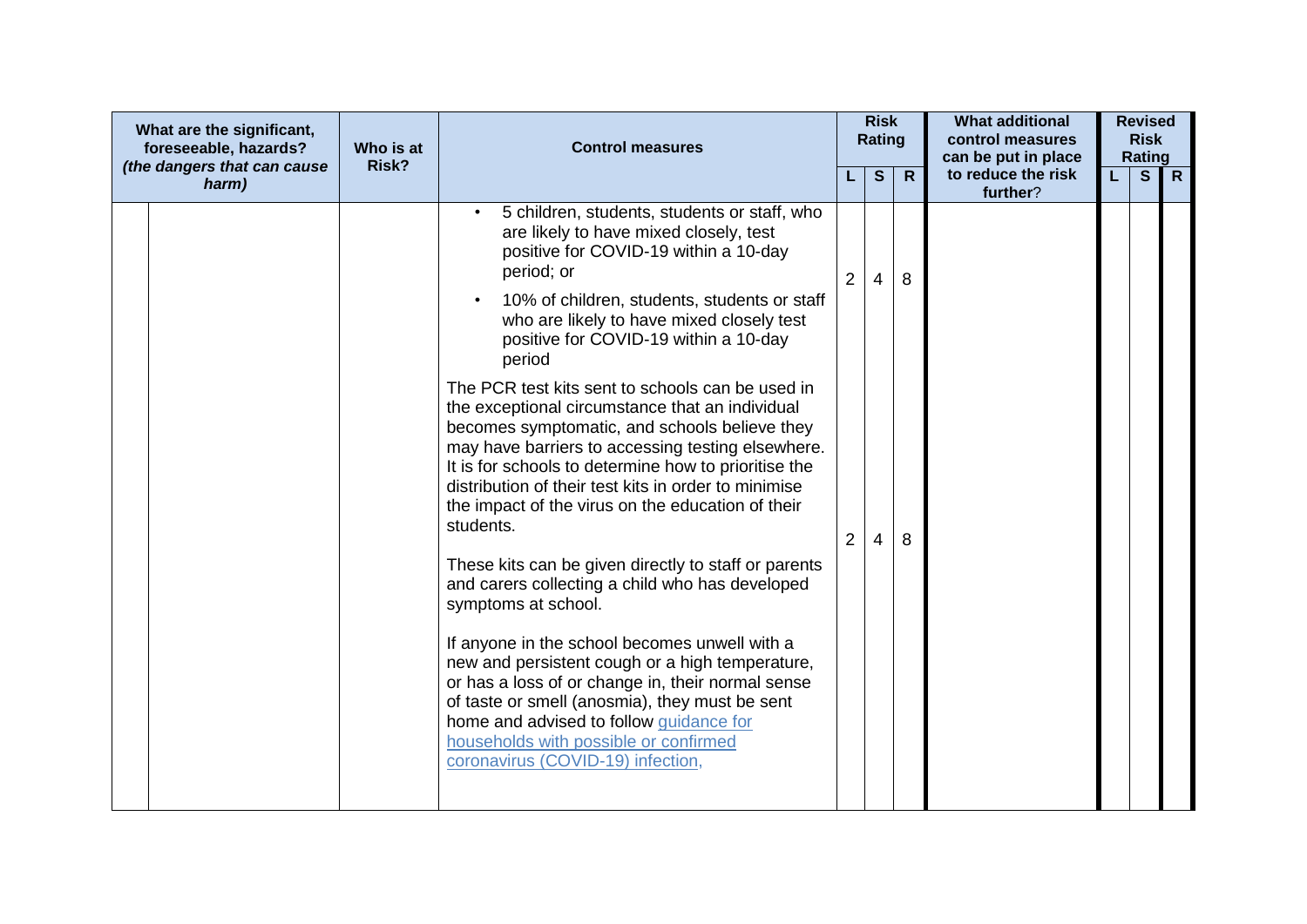| What are the significant,<br>foreseeable, hazards?<br>(the dangers that can cause | Who is at<br>Risk? | <b>Control measures</b>                                                                                                                                                                                                                                                                                                                                                                                                                                                                                                                                                                                                                                                                                                                                                                                                                                                                                                                                                                                                                                                                                                                    |                               | <b>Risk</b><br><b>Rating</b> |              | <b>What additional</b><br>control measures<br>can be put in place |    | <b>Revised</b><br><b>Risk</b><br>Rating |              |
|-----------------------------------------------------------------------------------|--------------------|--------------------------------------------------------------------------------------------------------------------------------------------------------------------------------------------------------------------------------------------------------------------------------------------------------------------------------------------------------------------------------------------------------------------------------------------------------------------------------------------------------------------------------------------------------------------------------------------------------------------------------------------------------------------------------------------------------------------------------------------------------------------------------------------------------------------------------------------------------------------------------------------------------------------------------------------------------------------------------------------------------------------------------------------------------------------------------------------------------------------------------------------|-------------------------------|------------------------------|--------------|-------------------------------------------------------------------|----|-----------------------------------------|--------------|
| harm)                                                                             |                    |                                                                                                                                                                                                                                                                                                                                                                                                                                                                                                                                                                                                                                                                                                                                                                                                                                                                                                                                                                                                                                                                                                                                            |                               | S                            | $\mathsf{R}$ | to reduce the risk<br>further?                                    | L. | S                                       | $\mathsf{R}$ |
|                                                                                   |                    | 5 children, students, students or staff, who<br>are likely to have mixed closely, test<br>positive for COVID-19 within a 10-day<br>period; or<br>10% of children, students, students or staff<br>$\bullet$<br>who are likely to have mixed closely test<br>positive for COVID-19 within a 10-day<br>period<br>The PCR test kits sent to schools can be used in<br>the exceptional circumstance that an individual<br>becomes symptomatic, and schools believe they<br>may have barriers to accessing testing elsewhere.<br>It is for schools to determine how to prioritise the<br>distribution of their test kits in order to minimise<br>the impact of the virus on the education of their<br>students.<br>These kits can be given directly to staff or parents<br>and carers collecting a child who has developed<br>symptoms at school.<br>If anyone in the school becomes unwell with a<br>new and persistent cough or a high temperature,<br>or has a loss of or change in, their normal sense<br>of taste or smell (anosmia), they must be sent<br>home and advised to follow guidance for<br>households with possible or confirmed | $\overline{2}$<br>$2^{\circ}$ | 4<br>4                       | 8<br>8       |                                                                   |    |                                         |              |
|                                                                                   |                    | coronavirus (COVID-19) infection,                                                                                                                                                                                                                                                                                                                                                                                                                                                                                                                                                                                                                                                                                                                                                                                                                                                                                                                                                                                                                                                                                                          |                               |                              |              |                                                                   |    |                                         |              |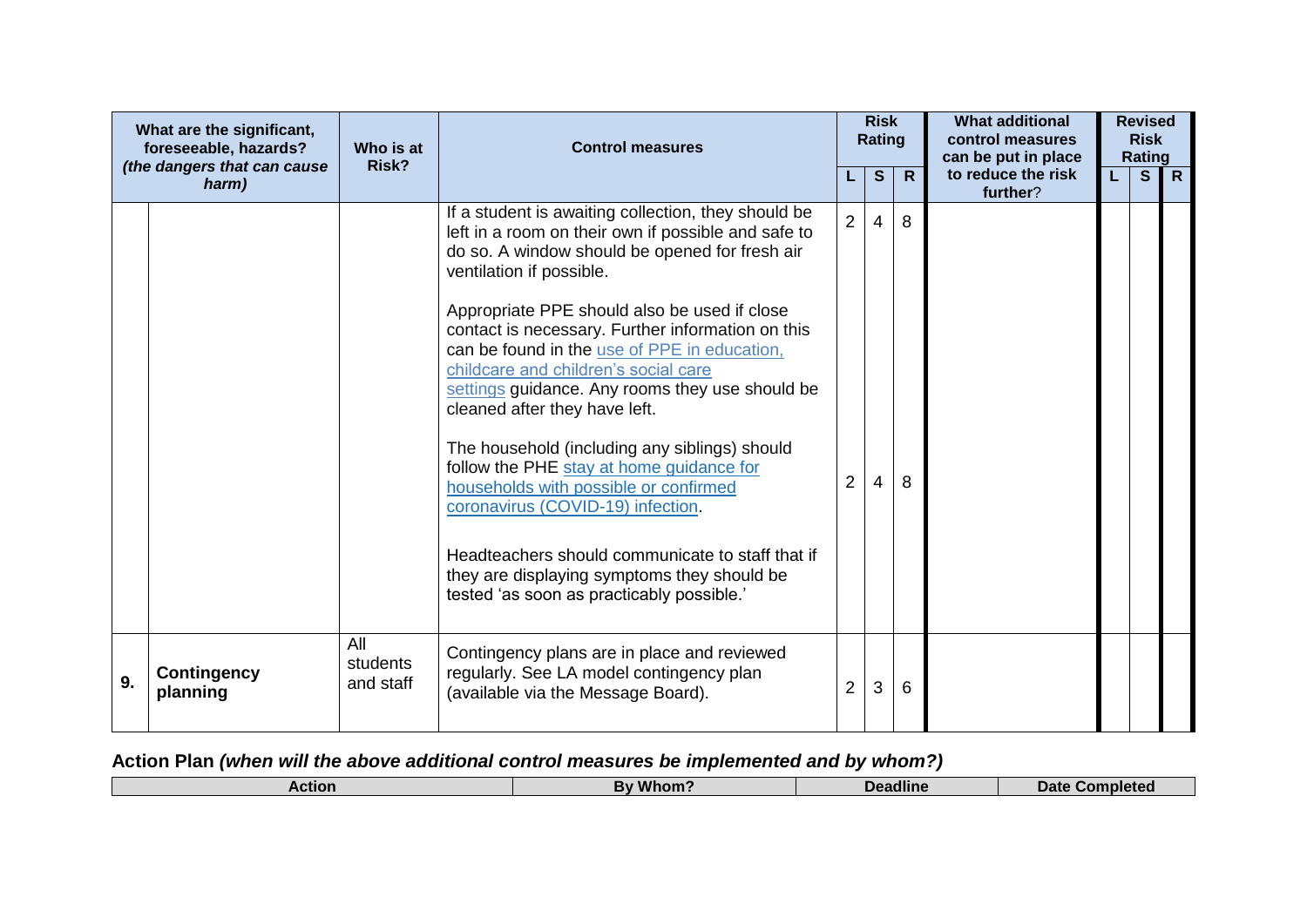| What are the significant,<br>foreseeable, hazards?<br>(the dangers that can cause |                                | Who is at<br>Risk?           | <b>Control measures</b>                                                                                                                                                                                                                                                                                                                                                                                                                                                                                                                                                                                                                                                                                                                                                                              |                                  |        |              |                                |    |              |                |  |  |  |  | <b>Risk</b><br><b>Rating</b> |  | <b>What additional</b><br>control measures<br>can be put in place |  | <b>Revised</b><br><b>Risk</b><br>Rating |  |
|-----------------------------------------------------------------------------------|--------------------------------|------------------------------|------------------------------------------------------------------------------------------------------------------------------------------------------------------------------------------------------------------------------------------------------------------------------------------------------------------------------------------------------------------------------------------------------------------------------------------------------------------------------------------------------------------------------------------------------------------------------------------------------------------------------------------------------------------------------------------------------------------------------------------------------------------------------------------------------|----------------------------------|--------|--------------|--------------------------------|----|--------------|----------------|--|--|--|--|------------------------------|--|-------------------------------------------------------------------|--|-----------------------------------------|--|
|                                                                                   | harm)                          |                              |                                                                                                                                                                                                                                                                                                                                                                                                                                                                                                                                                                                                                                                                                                                                                                                                      |                                  | S      | $\mathsf{R}$ | to reduce the risk<br>further? | L. | $\mathbf{s}$ | $\overline{R}$ |  |  |  |  |                              |  |                                                                   |  |                                         |  |
|                                                                                   |                                |                              | If a student is awaiting collection, they should be<br>left in a room on their own if possible and safe to<br>do so. A window should be opened for fresh air<br>ventilation if possible.<br>Appropriate PPE should also be used if close<br>contact is necessary. Further information on this<br>can be found in the use of PPE in education.<br>childcare and children's social care<br>settings guidance. Any rooms they use should be<br>cleaned after they have left.<br>The household (including any siblings) should<br>follow the PHE stay at home guidance for<br>households with possible or confirmed<br>coronavirus (COVID-19) infection.<br>Headteachers should communicate to staff that if<br>they are displaying symptoms they should be<br>tested 'as soon as practicably possible.' | $\overline{2}$<br>$\overline{2}$ | 4<br>4 | 8<br>8       |                                |    |              |                |  |  |  |  |                              |  |                                                                   |  |                                         |  |
| 9.                                                                                | <b>Contingency</b><br>planning | All<br>students<br>and staff | Contingency plans are in place and reviewed<br>regularly. See LA model contingency plan<br>(available via the Message Board).                                                                                                                                                                                                                                                                                                                                                                                                                                                                                                                                                                                                                                                                        | $\overline{2}$                   | 3      | 6            |                                |    |              |                |  |  |  |  |                              |  |                                                                   |  |                                         |  |

## **Action Plan** *(when will the above additional control measures be implemented and by whom?)*

|  | HIOI | $-1 - 1$<br>- | <b>adline</b><br>n.<br>the contract of the contract of the | Dato<br>∴or |
|--|------|---------------|------------------------------------------------------------|-------------|
|--|------|---------------|------------------------------------------------------------|-------------|